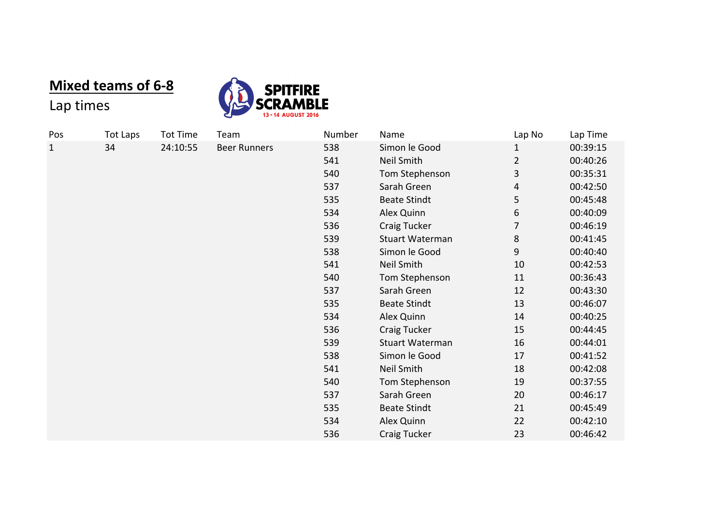## **Mixed teams of 6-8**



## Lap times

| Pos         | <b>Tot Laps</b> | <b>Tot Time</b> | Team                | Number | Name                | Lap No         | Lap Time |
|-------------|-----------------|-----------------|---------------------|--------|---------------------|----------------|----------|
| $\mathbf 1$ | 34              | 24:10:55        | <b>Beer Runners</b> | 538    | Simon le Good       | 1              | 00:39:15 |
|             |                 |                 |                     | 541    | Neil Smith          | $\overline{2}$ | 00:40:26 |
|             |                 |                 |                     | 540    | Tom Stephenson      | 3              | 00:35:31 |
|             |                 |                 |                     | 537    | Sarah Green         | 4              | 00:42:50 |
|             |                 |                 |                     | 535    | <b>Beate Stindt</b> | 5              | 00:45:48 |
|             |                 |                 |                     | 534    | Alex Quinn          | 6              | 00:40:09 |
|             |                 |                 |                     | 536    | Craig Tucker        | 7              | 00:46:19 |
|             |                 |                 |                     | 539    | Stuart Waterman     | 8              | 00:41:45 |
|             |                 |                 |                     | 538    | Simon le Good       | 9              | 00:40:40 |
|             |                 |                 |                     | 541    | Neil Smith          | 10             | 00:42:53 |
|             |                 |                 |                     | 540    | Tom Stephenson      | 11             | 00:36:43 |
|             |                 |                 |                     | 537    | Sarah Green         | 12             | 00:43:30 |
|             |                 |                 |                     | 535    | <b>Beate Stindt</b> | 13             | 00:46:07 |
|             |                 |                 |                     | 534    | Alex Quinn          | 14             | 00:40:25 |
|             |                 |                 |                     | 536    | Craig Tucker        | 15             | 00:44:45 |
|             |                 |                 |                     | 539    | Stuart Waterman     | 16             | 00:44:01 |
|             |                 |                 |                     | 538    | Simon le Good       | 17             | 00:41:52 |
|             |                 |                 |                     | 541    | Neil Smith          | 18             | 00:42:08 |
|             |                 |                 |                     | 540    | Tom Stephenson      | 19             | 00:37:55 |
|             |                 |                 |                     | 537    | Sarah Green         | 20             | 00:46:17 |
|             |                 |                 |                     | 535    | <b>Beate Stindt</b> | 21             | 00:45:49 |
|             |                 |                 |                     | 534    | Alex Quinn          | 22             | 00:42:10 |
|             |                 |                 |                     | 536    | Craig Tucker        | 23             | 00:46:42 |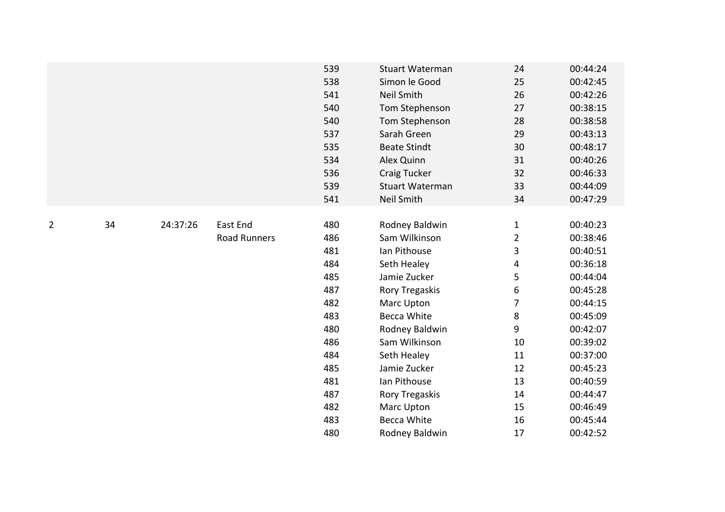|                |    |          |                     | 539 | <b>Stuart Waterman</b> | 24             | 00:44:24 |
|----------------|----|----------|---------------------|-----|------------------------|----------------|----------|
|                |    |          |                     | 538 | Simon le Good          | 25             | 00:42:45 |
|                |    |          |                     | 541 | <b>Neil Smith</b>      | 26             | 00:42:26 |
|                |    |          |                     | 540 | Tom Stephenson         | 27             | 00:38:15 |
|                |    |          |                     | 540 | Tom Stephenson         | 28             | 00:38:58 |
|                |    |          |                     | 537 | Sarah Green            | 29             | 00:43:13 |
|                |    |          |                     | 535 | <b>Beate Stindt</b>    | 30             | 00:48:17 |
|                |    |          |                     | 534 | Alex Quinn             | 31             | 00:40:26 |
|                |    |          |                     | 536 | Craig Tucker           | 32             | 00:46:33 |
|                |    |          |                     | 539 | <b>Stuart Waterman</b> | 33             | 00:44:09 |
|                |    |          |                     | 541 | Neil Smith             | 34             | 00:47:29 |
|                |    |          |                     |     |                        |                |          |
| $\overline{2}$ | 34 | 24:37:26 | East End            | 480 | Rodney Baldwin         | $\mathbf{1}$   | 00:40:23 |
|                |    |          | <b>Road Runners</b> | 486 | Sam Wilkinson          | $\overline{2}$ | 00:38:46 |
|                |    |          |                     | 481 | Ian Pithouse           | 3              | 00:40:51 |
|                |    |          |                     | 484 | Seth Healey            | 4              | 00:36:18 |
|                |    |          |                     | 485 | Jamie Zucker           | 5              | 00:44:04 |
|                |    |          |                     | 487 | Rory Tregaskis         | 6              | 00:45:28 |
|                |    |          |                     | 482 | Marc Upton             | 7              | 00:44:15 |
|                |    |          |                     | 483 | <b>Becca White</b>     | 8              | 00:45:09 |
|                |    |          |                     | 480 | Rodney Baldwin         | 9              | 00:42:07 |
|                |    |          |                     | 486 | Sam Wilkinson          | 10             | 00:39:02 |
|                |    |          |                     | 484 | Seth Healey            | 11             | 00:37:00 |
|                |    |          |                     | 485 | Jamie Zucker           | 12             | 00:45:23 |
|                |    |          |                     | 481 | Ian Pithouse           | 13             | 00:40:59 |
|                |    |          |                     | 487 | Rory Tregaskis         | 14             | 00:44:47 |
|                |    |          |                     | 482 | Marc Upton             | 15             | 00:46:49 |
|                |    |          |                     | 483 | <b>Becca White</b>     | 16             | 00:45:44 |
|                |    |          |                     | 480 | Rodney Baldwin         | 17             | 00:42:52 |
|                |    |          |                     |     |                        |                |          |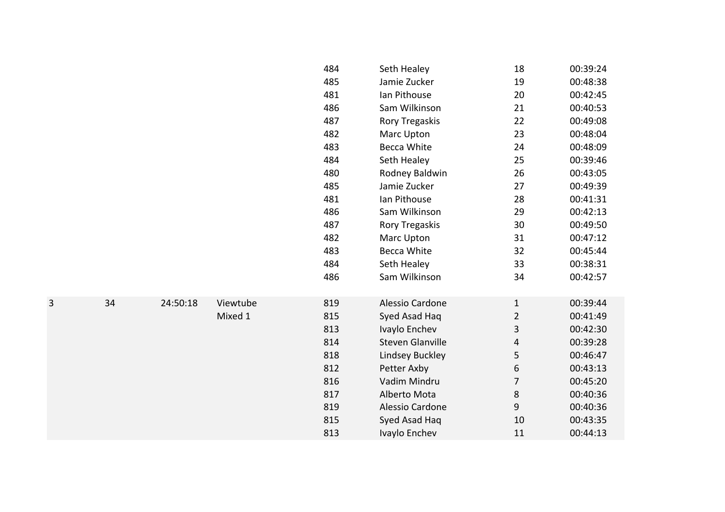|   |    |          |          | 484 | Seth Healey             | 18             | 00:39:24 |
|---|----|----------|----------|-----|-------------------------|----------------|----------|
|   |    |          |          | 485 | Jamie Zucker            | 19             | 00:48:38 |
|   |    |          |          | 481 | Ian Pithouse            | 20             | 00:42:45 |
|   |    |          |          | 486 | Sam Wilkinson           | 21             | 00:40:53 |
|   |    |          |          | 487 | Rory Tregaskis          | 22             | 00:49:08 |
|   |    |          |          | 482 | Marc Upton              | 23             | 00:48:04 |
|   |    |          |          | 483 | <b>Becca White</b>      | 24             | 00:48:09 |
|   |    |          |          | 484 | Seth Healey             | 25             | 00:39:46 |
|   |    |          |          | 480 | Rodney Baldwin          | 26             | 00:43:05 |
|   |    |          |          | 485 | Jamie Zucker            | 27             | 00:49:39 |
|   |    |          |          | 481 | Ian Pithouse            | 28             | 00:41:31 |
|   |    |          |          | 486 | Sam Wilkinson           | 29             | 00:42:13 |
|   |    |          |          | 487 | Rory Tregaskis          | 30             | 00:49:50 |
|   |    |          |          | 482 | Marc Upton              | 31             | 00:47:12 |
|   |    |          |          | 483 | <b>Becca White</b>      | 32             | 00:45:44 |
|   |    |          |          | 484 | Seth Healey             | 33             | 00:38:31 |
|   |    |          |          | 486 | Sam Wilkinson           | 34             | 00:42:57 |
|   |    |          |          |     |                         |                |          |
| 3 | 34 | 24:50:18 | Viewtube | 819 | Alessio Cardone         | $\mathbf{1}$   | 00:39:44 |
|   |    |          | Mixed 1  | 815 | Syed Asad Haq           | $\overline{2}$ | 00:41:49 |
|   |    |          |          | 813 | Ivaylo Enchev           | 3              | 00:42:30 |
|   |    |          |          | 814 | <b>Steven Glanville</b> | 4              | 00:39:28 |
|   |    |          |          | 818 | <b>Lindsey Buckley</b>  | 5              | 00:46:47 |
|   |    |          |          | 812 | Petter Axby             | 6              | 00:43:13 |
|   |    |          |          | 816 | Vadim Mindru            | $\overline{7}$ | 00:45:20 |
|   |    |          |          | 817 | Alberto Mota            | 8              | 00:40:36 |
|   |    |          |          | 819 | Alessio Cardone         | 9              | 00:40:36 |
|   |    |          |          | 815 | Syed Asad Haq           | 10             | 00:43:35 |
|   |    |          |          | 813 | Ivaylo Enchev           | 11             | 00:44:13 |
|   |    |          |          |     |                         |                |          |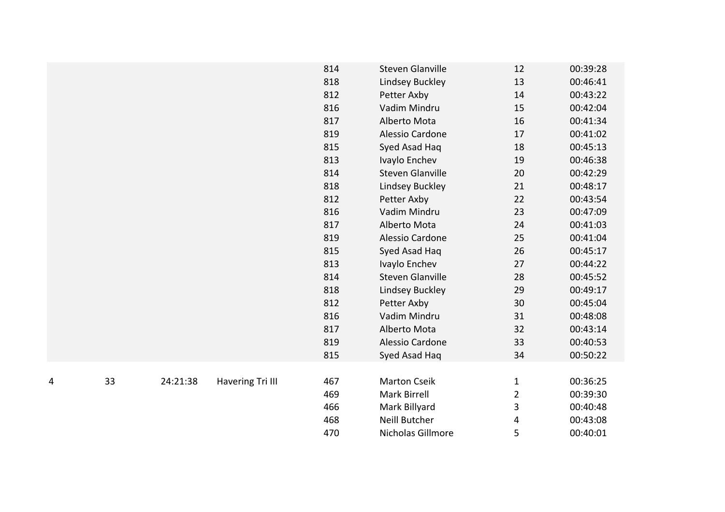|   |    |          |                  | 814 | <b>Steven Glanville</b> | 12                      | 00:39:28 |
|---|----|----------|------------------|-----|-------------------------|-------------------------|----------|
|   |    |          |                  | 818 | Lindsey Buckley         | 13                      | 00:46:41 |
|   |    |          |                  | 812 | Petter Axby             | 14                      | 00:43:22 |
|   |    |          |                  | 816 | Vadim Mindru            | 15                      | 00:42:04 |
|   |    |          |                  | 817 | Alberto Mota            | 16                      | 00:41:34 |
|   |    |          |                  | 819 | Alessio Cardone         | 17                      | 00:41:02 |
|   |    |          |                  | 815 | Syed Asad Haq           | 18                      | 00:45:13 |
|   |    |          |                  | 813 | Ivaylo Enchev           | 19                      | 00:46:38 |
|   |    |          |                  | 814 | <b>Steven Glanville</b> | 20                      | 00:42:29 |
|   |    |          |                  | 818 | Lindsey Buckley         | 21                      | 00:48:17 |
|   |    |          |                  | 812 | Petter Axby             | 22                      | 00:43:54 |
|   |    |          |                  | 816 | Vadim Mindru            | 23                      | 00:47:09 |
|   |    |          |                  | 817 | Alberto Mota            | 24                      | 00:41:03 |
|   |    |          |                  | 819 | Alessio Cardone         | 25                      | 00:41:04 |
|   |    |          |                  | 815 | Syed Asad Haq           | 26                      | 00:45:17 |
|   |    |          |                  | 813 | Ivaylo Enchev           | 27                      | 00:44:22 |
|   |    |          |                  | 814 | <b>Steven Glanville</b> | 28                      | 00:45:52 |
|   |    |          |                  | 818 | Lindsey Buckley         | 29                      | 00:49:17 |
|   |    |          |                  | 812 | Petter Axby             | 30                      | 00:45:04 |
|   |    |          |                  | 816 | Vadim Mindru            | 31                      | 00:48:08 |
|   |    |          |                  | 817 | Alberto Mota            | 32                      | 00:43:14 |
|   |    |          |                  | 819 | Alessio Cardone         | 33                      | 00:40:53 |
|   |    |          |                  | 815 | Syed Asad Haq           | 34                      | 00:50:22 |
|   |    |          |                  |     |                         |                         |          |
| 4 | 33 | 24:21:38 | Havering Tri III | 467 | <b>Marton Cseik</b>     | $\mathbf{1}$            | 00:36:25 |
|   |    |          |                  | 469 | Mark Birrell            | $\overline{\mathbf{c}}$ | 00:39:30 |
|   |    |          |                  | 466 | Mark Billyard           | 3                       | 00:40:48 |
|   |    |          |                  | 468 | Neill Butcher           | 4                       | 00:43:08 |
|   |    |          |                  | 470 | Nicholas Gillmore       | 5                       | 00:40:01 |
|   |    |          |                  |     |                         |                         |          |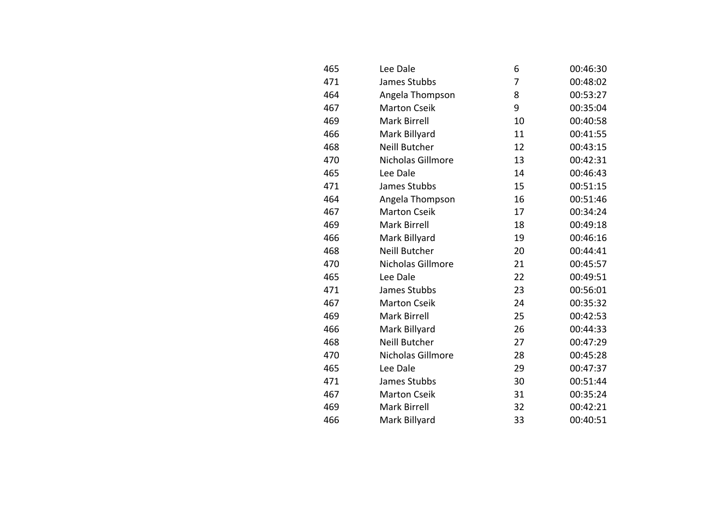| 465 | Lee Dale             | 6  | 00:46:30 |
|-----|----------------------|----|----------|
| 471 | James Stubbs         | 7  | 00:48:02 |
| 464 | Angela Thompson      | 8  | 00:53:27 |
| 467 | <b>Marton Cseik</b>  | 9  | 00:35:04 |
| 469 | Mark Birrell         | 10 | 00:40:58 |
| 466 | Mark Billyard        | 11 | 00:41:55 |
| 468 | Neill Butcher        | 12 | 00:43:15 |
| 470 | Nicholas Gillmore    | 13 | 00:42:31 |
| 465 | Lee Dale             | 14 | 00:46:43 |
| 471 | James Stubbs         | 15 | 00:51:15 |
| 464 | Angela Thompson      | 16 | 00:51:46 |
| 467 | <b>Marton Cseik</b>  | 17 | 00:34:24 |
| 469 | <b>Mark Birrell</b>  | 18 | 00:49:18 |
| 466 | Mark Billyard        | 19 | 00:46:16 |
| 468 | <b>Neill Butcher</b> | 20 | 00:44:41 |
| 470 | Nicholas Gillmore    | 21 | 00:45:57 |
| 465 | Lee Dale             | 22 | 00:49:51 |
| 471 | James Stubbs         | 23 | 00:56:01 |
| 467 | <b>Marton Cseik</b>  | 24 | 00:35:32 |
| 469 | Mark Birrell         | 25 | 00:42:53 |
| 466 | Mark Billyard        | 26 | 00:44:33 |
| 468 | Neill Butcher        | 27 | 00:47:29 |
| 470 | Nicholas Gillmore    | 28 | 00:45:28 |
| 465 | Lee Dale             | 29 | 00:47:37 |
| 471 | James Stubbs         | 30 | 00:51:44 |
| 467 | <b>Marton Cseik</b>  | 31 | 00:35:24 |
| 469 | Mark Birrell         | 32 | 00:42:21 |
| 466 | Mark Billyard        | 33 | 00:40:51 |
|     |                      |    |          |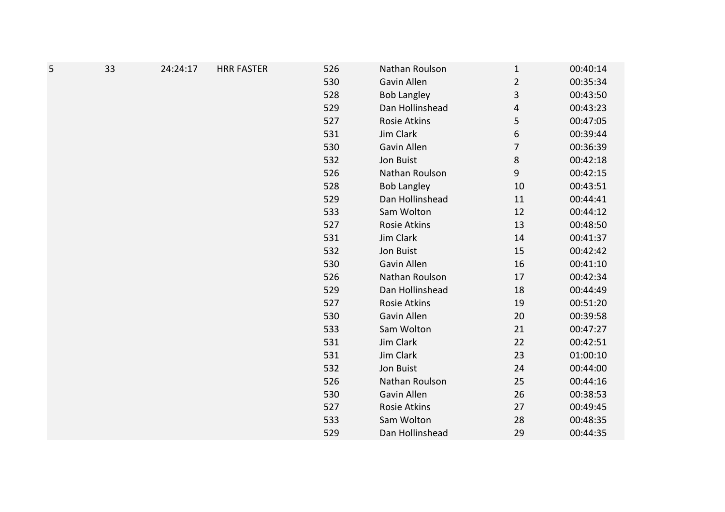| 5 | 33 | 24:24:17 | <b>HRR FASTER</b> | 526 | Nathan Roulson     | $\mathbf{1}$   | 00:40:14 |
|---|----|----------|-------------------|-----|--------------------|----------------|----------|
|   |    |          |                   | 530 | Gavin Allen        | $\mathbf 2$    | 00:35:34 |
|   |    |          |                   | 528 | <b>Bob Langley</b> | $\mathsf 3$    | 00:43:50 |
|   |    |          |                   | 529 | Dan Hollinshead    | 4              | 00:43:23 |
|   |    |          |                   | 527 | Rosie Atkins       | 5              | 00:47:05 |
|   |    |          |                   | 531 | Jim Clark          | 6              | 00:39:44 |
|   |    |          |                   | 530 | Gavin Allen        | $\overline{7}$ | 00:36:39 |
|   |    |          |                   | 532 | Jon Buist          | 8              | 00:42:18 |
|   |    |          |                   | 526 | Nathan Roulson     | 9              | 00:42:15 |
|   |    |          |                   | 528 | <b>Bob Langley</b> | 10             | 00:43:51 |
|   |    |          |                   | 529 | Dan Hollinshead    | 11             | 00:44:41 |
|   |    |          |                   | 533 | Sam Wolton         | 12             | 00:44:12 |
|   |    |          |                   | 527 | Rosie Atkins       | 13             | 00:48:50 |
|   |    |          |                   | 531 | Jim Clark          | 14             | 00:41:37 |
|   |    |          |                   | 532 | Jon Buist          | 15             | 00:42:42 |
|   |    |          |                   | 530 | Gavin Allen        | 16             | 00:41:10 |
|   |    |          |                   | 526 | Nathan Roulson     | 17             | 00:42:34 |
|   |    |          |                   | 529 | Dan Hollinshead    | 18             | 00:44:49 |
|   |    |          |                   | 527 | Rosie Atkins       | 19             | 00:51:20 |
|   |    |          |                   | 530 | Gavin Allen        | 20             | 00:39:58 |
|   |    |          |                   | 533 | Sam Wolton         | 21             | 00:47:27 |
|   |    |          |                   | 531 | Jim Clark          | 22             | 00:42:51 |
|   |    |          |                   | 531 | Jim Clark          | 23             | 01:00:10 |
|   |    |          |                   | 532 | Jon Buist          | 24             | 00:44:00 |
|   |    |          |                   | 526 | Nathan Roulson     | 25             | 00:44:16 |
|   |    |          |                   | 530 | Gavin Allen        | 26             | 00:38:53 |
|   |    |          |                   | 527 | Rosie Atkins       | 27             | 00:49:45 |
|   |    |          |                   | 533 | Sam Wolton         | 28             | 00:48:35 |
|   |    |          |                   | 529 | Dan Hollinshead    | 29             | 00:44:35 |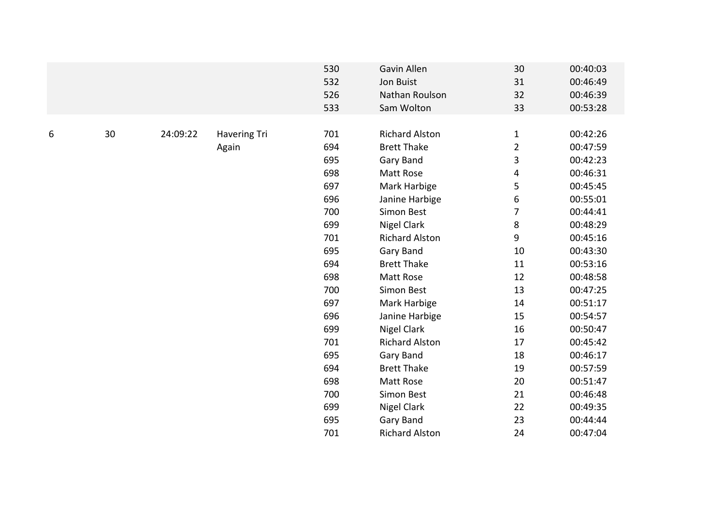|   |    |          |                     | 530 | Gavin Allen           | 30             | 00:40:03 |
|---|----|----------|---------------------|-----|-----------------------|----------------|----------|
|   |    |          |                     | 532 | Jon Buist             | 31             | 00:46:49 |
|   |    |          |                     | 526 | Nathan Roulson        | 32             | 00:46:39 |
|   |    |          |                     | 533 | Sam Wolton            | 33             | 00:53:28 |
|   |    |          |                     |     |                       |                |          |
| 6 | 30 | 24:09:22 | <b>Havering Tri</b> | 701 | <b>Richard Alston</b> | $\mathbf{1}$   | 00:42:26 |
|   |    |          | Again               | 694 | <b>Brett Thake</b>    | $\overline{2}$ | 00:47:59 |
|   |    |          |                     | 695 | Gary Band             | 3              | 00:42:23 |
|   |    |          |                     | 698 | Matt Rose             | 4              | 00:46:31 |
|   |    |          |                     | 697 | Mark Harbige          | 5              | 00:45:45 |
|   |    |          |                     | 696 | Janine Harbige        | 6              | 00:55:01 |
|   |    |          |                     | 700 | Simon Best            | $\overline{7}$ | 00:44:41 |
|   |    |          |                     | 699 | Nigel Clark           | 8              | 00:48:29 |
|   |    |          |                     | 701 | <b>Richard Alston</b> | 9              | 00:45:16 |
|   |    |          |                     | 695 | Gary Band             | 10             | 00:43:30 |
|   |    |          |                     | 694 | <b>Brett Thake</b>    | 11             | 00:53:16 |
|   |    |          |                     | 698 | Matt Rose             | 12             | 00:48:58 |
|   |    |          |                     | 700 | Simon Best            | 13             | 00:47:25 |
|   |    |          |                     | 697 | Mark Harbige          | 14             | 00:51:17 |
|   |    |          |                     | 696 | Janine Harbige        | 15             | 00:54:57 |
|   |    |          |                     | 699 | <b>Nigel Clark</b>    | 16             | 00:50:47 |
|   |    |          |                     | 701 | <b>Richard Alston</b> | 17             | 00:45:42 |
|   |    |          |                     | 695 | Gary Band             | 18             | 00:46:17 |
|   |    |          |                     | 694 | <b>Brett Thake</b>    | 19             | 00:57:59 |
|   |    |          |                     | 698 | Matt Rose             | 20             | 00:51:47 |
|   |    |          |                     | 700 | Simon Best            | 21             | 00:46:48 |
|   |    |          |                     | 699 | <b>Nigel Clark</b>    | 22             | 00:49:35 |
|   |    |          |                     | 695 | Gary Band             | 23             | 00:44:44 |
|   |    |          |                     | 701 | <b>Richard Alston</b> | 24             | 00:47:04 |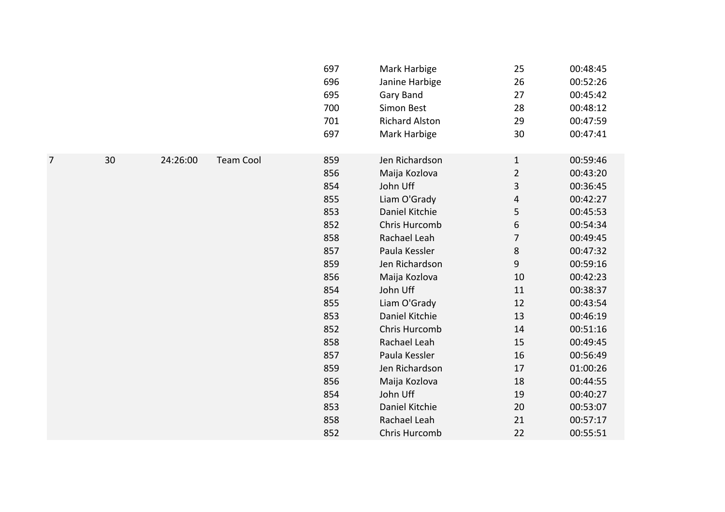|                |    |          |                  | 697<br>696<br>695<br>700<br>701 | Mark Harbige<br>Janine Harbige<br>Gary Band<br>Simon Best<br><b>Richard Alston</b> | 25<br>26<br>27<br>28<br>29 | 00:48:45<br>00:52:26<br>00:45:42<br>00:48:12<br>00:47:59 |
|----------------|----|----------|------------------|---------------------------------|------------------------------------------------------------------------------------|----------------------------|----------------------------------------------------------|
|                |    |          |                  | 697                             | Mark Harbige                                                                       | 30                         | 00:47:41                                                 |
| $\overline{7}$ | 30 | 24:26:00 | <b>Team Cool</b> | 859                             | Jen Richardson                                                                     | $\mathbf{1}$               | 00:59:46                                                 |
|                |    |          |                  | 856                             | Maija Kozlova                                                                      | $\mathbf 2$                | 00:43:20                                                 |
|                |    |          |                  | 854                             | John Uff                                                                           | 3                          | 00:36:45                                                 |
|                |    |          |                  | 855                             | Liam O'Grady                                                                       | 4                          | 00:42:27                                                 |
|                |    |          |                  | 853                             | Daniel Kitchie                                                                     | 5                          | 00:45:53                                                 |
|                |    |          |                  | 852                             | Chris Hurcomb                                                                      | 6                          | 00:54:34                                                 |
|                |    |          |                  | 858                             | Rachael Leah                                                                       | $\overline{7}$             | 00:49:45                                                 |
|                |    |          |                  | 857                             | Paula Kessler                                                                      | 8                          | 00:47:32                                                 |
|                |    |          |                  | 859                             | Jen Richardson                                                                     | 9                          | 00:59:16                                                 |
|                |    |          |                  | 856                             | Maija Kozlova                                                                      | 10                         | 00:42:23                                                 |
|                |    |          |                  | 854                             | John Uff                                                                           | 11                         | 00:38:37                                                 |
|                |    |          |                  | 855                             | Liam O'Grady                                                                       | 12                         | 00:43:54                                                 |
|                |    |          |                  | 853                             | Daniel Kitchie                                                                     | 13                         | 00:46:19                                                 |
|                |    |          |                  | 852                             | Chris Hurcomb                                                                      | 14                         | 00:51:16                                                 |
|                |    |          |                  | 858                             | Rachael Leah                                                                       | 15                         | 00:49:45                                                 |
|                |    |          |                  | 857                             | Paula Kessler                                                                      | 16                         | 00:56:49                                                 |
|                |    |          |                  | 859                             | Jen Richardson                                                                     | 17                         | 01:00:26                                                 |
|                |    |          |                  | 856                             | Maija Kozlova                                                                      | 18                         | 00:44:55                                                 |
|                |    |          |                  | 854                             | John Uff                                                                           | 19                         | 00:40:27                                                 |
|                |    |          |                  | 853                             | Daniel Kitchie                                                                     | 20                         | 00:53:07                                                 |
|                |    |          |                  | 858                             | Rachael Leah                                                                       | 21                         | 00:57:17                                                 |
|                |    |          |                  | 852                             | Chris Hurcomb                                                                      | 22                         | 00:55:51                                                 |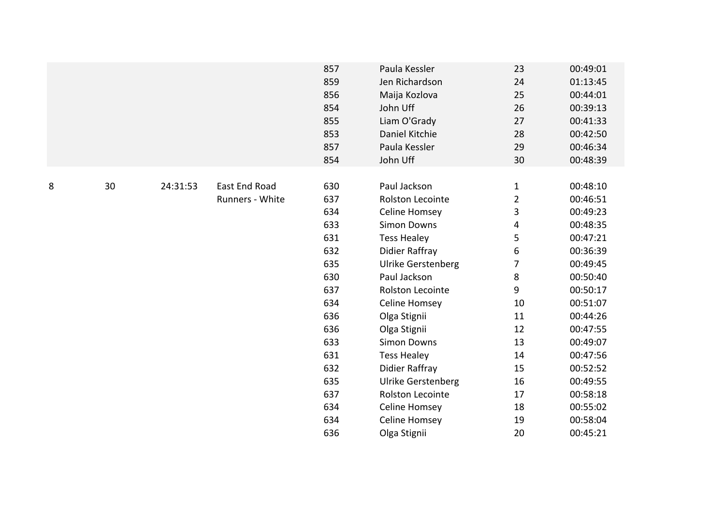|   |    |          |                                         | 857<br>859<br>856<br>854<br>855<br>853<br>857<br>854                      | Paula Kessler<br>Jen Richardson<br>Maija Kozlova<br>John Uff<br>Liam O'Grady<br>Daniel Kitchie<br>Paula Kessler<br>John Uff                                                                              | 23<br>24<br>25<br>26<br>27<br>28<br>29<br>30                                  | 00:49:01<br>01:13:45<br>00:44:01<br>00:39:13<br>00:41:33<br>00:42:50<br>00:46:34<br>00:48:39                                     |
|---|----|----------|-----------------------------------------|---------------------------------------------------------------------------|----------------------------------------------------------------------------------------------------------------------------------------------------------------------------------------------------------|-------------------------------------------------------------------------------|----------------------------------------------------------------------------------------------------------------------------------|
| 8 | 30 | 24:31:53 | <b>East End Road</b><br>Runners - White | 630<br>637<br>634<br>633<br>631<br>632<br>635<br>630<br>637<br>634<br>636 | Paul Jackson<br>Rolston Lecointe<br>Celine Homsey<br><b>Simon Downs</b><br><b>Tess Healey</b><br><b>Didier Raffray</b><br><b>Ulrike Gerstenberg</b><br>Paul Jackson<br>Rolston Lecointe<br>Celine Homsey | $\mathbf{1}$<br>$\overline{2}$<br>3<br>4<br>5<br>6<br>7<br>8<br>9<br>10<br>11 | 00:48:10<br>00:46:51<br>00:49:23<br>00:48:35<br>00:47:21<br>00:36:39<br>00:49:45<br>00:50:40<br>00:50:17<br>00:51:07<br>00:44:26 |
|   |    |          |                                         | 636<br>633<br>631<br>632<br>635<br>637<br>634<br>634<br>636               | Olga Stignii<br>Olga Stignii<br><b>Simon Downs</b><br><b>Tess Healey</b><br><b>Didier Raffray</b><br><b>Ulrike Gerstenberg</b><br>Rolston Lecointe<br>Celine Homsey<br>Celine Homsey<br>Olga Stignii     | 12<br>13<br>14<br>15<br>16<br>17<br>18<br>19<br>20                            | 00:47:55<br>00:49:07<br>00:47:56<br>00:52:52<br>00:49:55<br>00:58:18<br>00:55:02<br>00:58:04<br>00:45:21                         |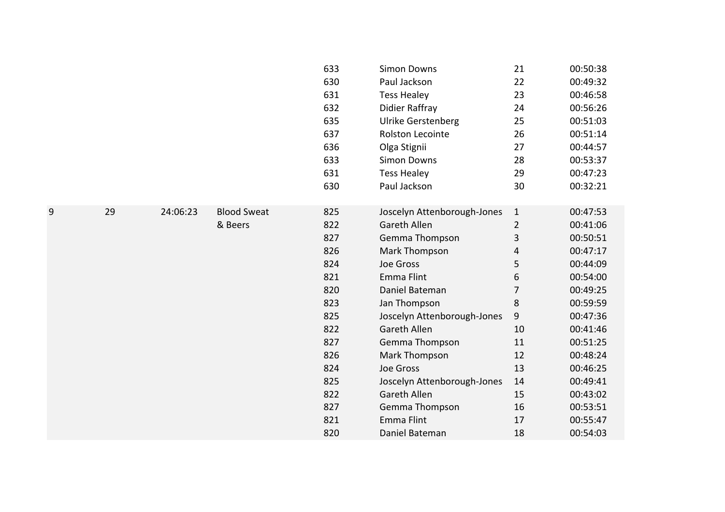|   |    |          |                    | 633 | <b>Simon Downs</b>          | 21             | 00:50:38 |
|---|----|----------|--------------------|-----|-----------------------------|----------------|----------|
|   |    |          |                    | 630 | Paul Jackson                | 22             | 00:49:32 |
|   |    |          |                    | 631 | <b>Tess Healey</b>          | 23             | 00:46:58 |
|   |    |          |                    | 632 | <b>Didier Raffray</b>       | 24             | 00:56:26 |
|   |    |          |                    | 635 | <b>Ulrike Gerstenberg</b>   | 25             | 00:51:03 |
|   |    |          |                    | 637 | Rolston Lecointe            | 26             | 00:51:14 |
|   |    |          |                    | 636 | Olga Stignii                | 27             | 00:44:57 |
|   |    |          |                    | 633 | <b>Simon Downs</b>          | 28             | 00:53:37 |
|   |    |          |                    | 631 | <b>Tess Healey</b>          | 29             | 00:47:23 |
|   |    |          |                    | 630 | Paul Jackson                | 30             | 00:32:21 |
|   |    |          |                    |     |                             |                |          |
| 9 | 29 | 24:06:23 | <b>Blood Sweat</b> | 825 | Joscelyn Attenborough-Jones | $\mathbf{1}$   | 00:47:53 |
|   |    |          | & Beers            | 822 | <b>Gareth Allen</b>         | $\overline{2}$ | 00:41:06 |
|   |    |          |                    | 827 | Gemma Thompson              | 3              | 00:50:51 |
|   |    |          |                    | 826 | Mark Thompson               | 4              | 00:47:17 |
|   |    |          |                    | 824 | Joe Gross                   | 5              | 00:44:09 |
|   |    |          |                    | 821 | Emma Flint                  | 6              | 00:54:00 |
|   |    |          |                    | 820 | Daniel Bateman              | 7              | 00:49:25 |
|   |    |          |                    | 823 | Jan Thompson                | $\,8\,$        | 00:59:59 |
|   |    |          |                    | 825 | Joscelyn Attenborough-Jones | 9              | 00:47:36 |
|   |    |          |                    | 822 | <b>Gareth Allen</b>         | 10             | 00:41:46 |
|   |    |          |                    | 827 | Gemma Thompson              | 11             | 00:51:25 |
|   |    |          |                    | 826 | Mark Thompson               | 12             | 00:48:24 |
|   |    |          |                    | 824 | Joe Gross                   | 13             | 00:46:25 |
|   |    |          |                    | 825 | Joscelyn Attenborough-Jones | 14             | 00:49:41 |
|   |    |          |                    | 822 | <b>Gareth Allen</b>         | 15             | 00:43:02 |
|   |    |          |                    | 827 | Gemma Thompson              | 16             | 00:53:51 |
|   |    |          |                    | 821 | Emma Flint                  | 17             | 00:55:47 |
|   |    |          |                    | 820 | Daniel Bateman              | 18             | 00:54:03 |
|   |    |          |                    |     |                             |                |          |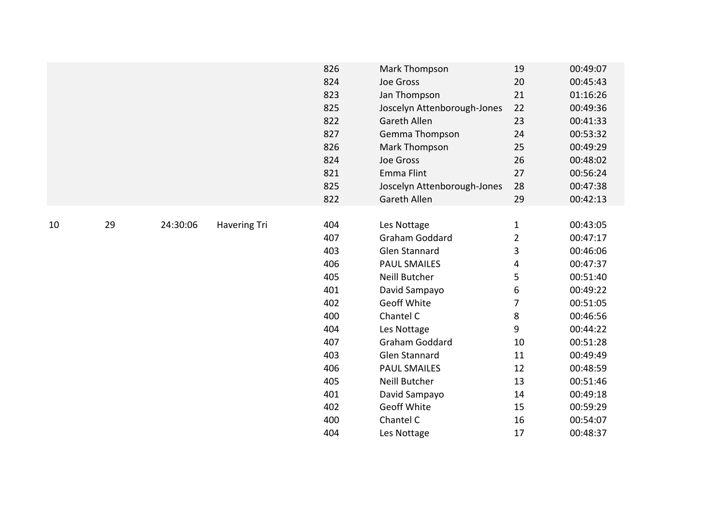|    |    |          |                     | 826 | Mark Thompson               | 19             | 00:49:07 |
|----|----|----------|---------------------|-----|-----------------------------|----------------|----------|
|    |    |          |                     | 824 | Joe Gross                   | 20             | 00:45:43 |
|    |    |          |                     | 823 | Jan Thompson                | 21             | 01:16:26 |
|    |    |          |                     | 825 | Joscelyn Attenborough-Jones | 22             | 00:49:36 |
|    |    |          |                     | 822 | Gareth Allen                | 23             | 00:41:33 |
|    |    |          |                     | 827 | Gemma Thompson              | 24             | 00:53:32 |
|    |    |          |                     | 826 | Mark Thompson               | 25             | 00:49:29 |
|    |    |          |                     | 824 | Joe Gross                   | 26             | 00:48:02 |
|    |    |          |                     | 821 | <b>Emma Flint</b>           | 27             | 00:56:24 |
|    |    |          |                     | 825 | Joscelyn Attenborough-Jones | 28             | 00:47:38 |
|    |    |          |                     | 822 | Gareth Allen                | 29             | 00:42:13 |
|    |    |          |                     |     |                             |                |          |
| 10 | 29 | 24:30:06 | <b>Havering Tri</b> | 404 | Les Nottage                 | $\mathbf{1}$   | 00:43:05 |
|    |    |          |                     | 407 | Graham Goddard              | $\overline{2}$ | 00:47:17 |
|    |    |          |                     | 403 | <b>Glen Stannard</b>        | 3              | 00:46:06 |
|    |    |          |                     | 406 | <b>PAUL SMAILES</b>         | 4              | 00:47:37 |
|    |    |          |                     | 405 | Neill Butcher               | 5              | 00:51:40 |
|    |    |          |                     | 401 | David Sampayo               | 6              | 00:49:22 |
|    |    |          |                     | 402 | <b>Geoff White</b>          | $\overline{7}$ | 00:51:05 |
|    |    |          |                     | 400 | Chantel C                   | 8              | 00:46:56 |
|    |    |          |                     | 404 | Les Nottage                 | 9              | 00:44:22 |
|    |    |          |                     | 407 | Graham Goddard              | 10             | 00:51:28 |
|    |    |          |                     | 403 | <b>Glen Stannard</b>        | 11             | 00:49:49 |
|    |    |          |                     | 406 | <b>PAUL SMAILES</b>         | 12             | 00:48:59 |
|    |    |          |                     | 405 | Neill Butcher               | 13             | 00:51:46 |
|    |    |          |                     | 401 | David Sampayo               | 14             | 00:49:18 |
|    |    |          |                     | 402 | <b>Geoff White</b>          | 15             | 00:59:29 |
|    |    |          |                     | 400 | Chantel C                   | 16             | 00:54:07 |
|    |    |          |                     | 404 | Les Nottage                 | 17             | 00:48:37 |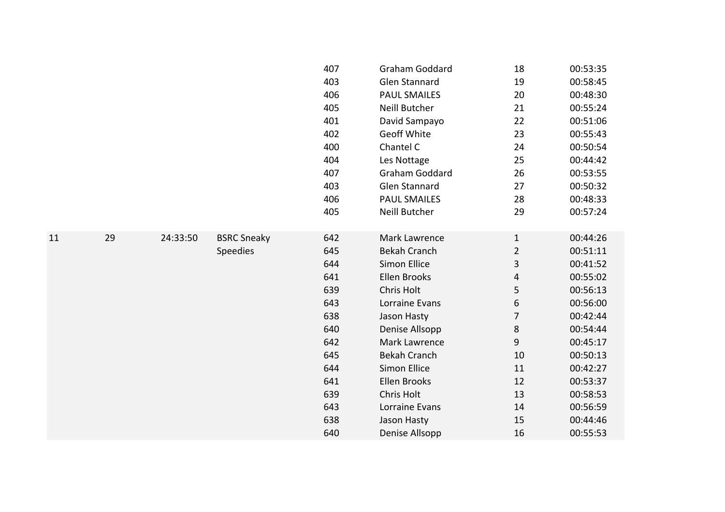|    |    |          |                    | 407 | Graham Goddard       | 18             | 00:53:35 |
|----|----|----------|--------------------|-----|----------------------|----------------|----------|
|    |    |          |                    | 403 | <b>Glen Stannard</b> | 19             | 00:58:45 |
|    |    |          |                    | 406 | <b>PAUL SMAILES</b>  | 20             | 00:48:30 |
|    |    |          |                    | 405 | Neill Butcher        | 21             | 00:55:24 |
|    |    |          |                    | 401 | David Sampayo        | 22             | 00:51:06 |
|    |    |          |                    | 402 | <b>Geoff White</b>   | 23             | 00:55:43 |
|    |    |          |                    | 400 | Chantel C            | 24             | 00:50:54 |
|    |    |          |                    | 404 | Les Nottage          | 25             | 00:44:42 |
|    |    |          |                    | 407 | Graham Goddard       | 26             | 00:53:55 |
|    |    |          |                    | 403 | <b>Glen Stannard</b> | 27             | 00:50:32 |
|    |    |          |                    | 406 | <b>PAUL SMAILES</b>  | 28             | 00:48:33 |
|    |    |          |                    | 405 | Neill Butcher        | 29             | 00:57:24 |
|    |    |          |                    |     |                      |                |          |
| 11 | 29 | 24:33:50 | <b>BSRC Sneaky</b> | 642 | Mark Lawrence        | $\mathbf{1}$   | 00:44:26 |
|    |    |          | <b>Speedies</b>    | 645 | <b>Bekah Cranch</b>  | $\overline{2}$ | 00:51:11 |
|    |    |          |                    | 644 | Simon Ellice         | 3              | 00:41:52 |
|    |    |          |                    | 641 | <b>Ellen Brooks</b>  | 4              | 00:55:02 |
|    |    |          |                    | 639 | Chris Holt           | 5              | 00:56:13 |
|    |    |          |                    | 643 | Lorraine Evans       | 6              | 00:56:00 |
|    |    |          |                    | 638 | Jason Hasty          | 7              | 00:42:44 |
|    |    |          |                    | 640 | Denise Allsopp       | 8              | 00:54:44 |
|    |    |          |                    | 642 | Mark Lawrence        | 9              | 00:45:17 |
|    |    |          |                    | 645 | <b>Bekah Cranch</b>  | 10             | 00:50:13 |
|    |    |          |                    | 644 | Simon Ellice         | 11             | 00:42:27 |
|    |    |          |                    | 641 | <b>Ellen Brooks</b>  | 12             | 00:53:37 |
|    |    |          |                    | 639 | Chris Holt           | 13             | 00:58:53 |
|    |    |          |                    | 643 | Lorraine Evans       | 14             | 00:56:59 |
|    |    |          |                    | 638 | Jason Hasty          | 15             | 00:44:46 |
|    |    |          |                    | 640 | Denise Allsopp       | 16             | 00:55:53 |
|    |    |          |                    |     |                      |                |          |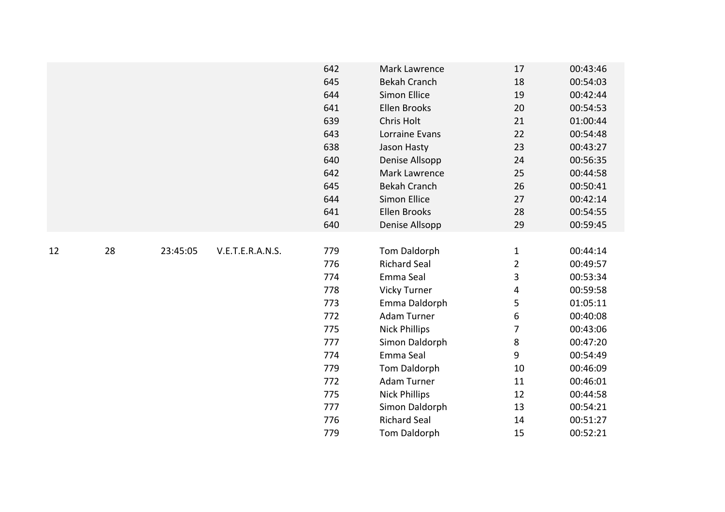|    |    |          |                  | 642 | Mark Lawrence        | 17             | 00:43:46 |
|----|----|----------|------------------|-----|----------------------|----------------|----------|
|    |    |          |                  | 645 | <b>Bekah Cranch</b>  | 18             | 00:54:03 |
|    |    |          |                  | 644 | <b>Simon Ellice</b>  | 19             | 00:42:44 |
|    |    |          |                  | 641 | Ellen Brooks         | 20             | 00:54:53 |
|    |    |          |                  | 639 | Chris Holt           | 21             | 01:00:44 |
|    |    |          |                  | 643 | Lorraine Evans       | 22             | 00:54:48 |
|    |    |          |                  | 638 | Jason Hasty          | 23             | 00:43:27 |
|    |    |          |                  | 640 | Denise Allsopp       | 24             | 00:56:35 |
|    |    |          |                  | 642 | Mark Lawrence        | 25             | 00:44:58 |
|    |    |          |                  | 645 | <b>Bekah Cranch</b>  | 26             | 00:50:41 |
|    |    |          |                  | 644 | Simon Ellice         | 27             | 00:42:14 |
|    |    |          |                  | 641 | <b>Ellen Brooks</b>  | 28             | 00:54:55 |
|    |    |          |                  | 640 | Denise Allsopp       | 29             | 00:59:45 |
|    |    |          |                  |     |                      |                |          |
| 12 | 28 | 23:45:05 | V.E.T.E.R.A.N.S. | 779 | Tom Daldorph         | $\mathbf{1}$   | 00:44:14 |
|    |    |          |                  | 776 | <b>Richard Seal</b>  | $\overline{2}$ | 00:49:57 |
|    |    |          |                  | 774 | Emma Seal            | 3              | 00:53:34 |
|    |    |          |                  | 778 | Vicky Turner         | 4              | 00:59:58 |
|    |    |          |                  | 773 | Emma Daldorph        | 5              | 01:05:11 |
|    |    |          |                  | 772 | Adam Turner          | 6              | 00:40:08 |
|    |    |          |                  | 775 | <b>Nick Phillips</b> | $\overline{7}$ | 00:43:06 |
|    |    |          |                  | 777 | Simon Daldorph       | 8              | 00:47:20 |
|    |    |          |                  | 774 | Emma Seal            | 9              | 00:54:49 |
|    |    |          |                  | 779 | Tom Daldorph         | $10\,$         | 00:46:09 |
|    |    |          |                  | 772 | Adam Turner          | 11             | 00:46:01 |
|    |    |          |                  | 775 | <b>Nick Phillips</b> | 12             | 00:44:58 |
|    |    |          |                  | 777 | Simon Daldorph       | 13             | 00:54:21 |
|    |    |          |                  | 776 | <b>Richard Seal</b>  | 14             | 00:51:27 |
|    |    |          |                  | 779 | Tom Daldorph         | 15             | 00:52:21 |
|    |    |          |                  |     |                      |                |          |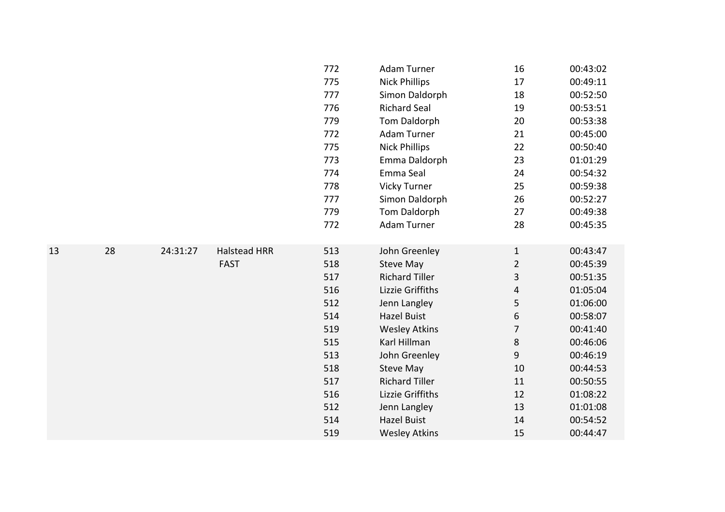|    |    |          |                     | 772 | Adam Turner           | 16             | 00:43:02 |
|----|----|----------|---------------------|-----|-----------------------|----------------|----------|
|    |    |          |                     | 775 | <b>Nick Phillips</b>  | 17             | 00:49:11 |
|    |    |          |                     | 777 | Simon Daldorph        | 18             | 00:52:50 |
|    |    |          |                     | 776 | <b>Richard Seal</b>   | 19             | 00:53:51 |
|    |    |          |                     | 779 | Tom Daldorph          | 20             | 00:53:38 |
|    |    |          |                     | 772 | Adam Turner           | 21             | 00:45:00 |
|    |    |          |                     | 775 | <b>Nick Phillips</b>  | 22             | 00:50:40 |
|    |    |          |                     | 773 | Emma Daldorph         | 23             | 01:01:29 |
|    |    |          |                     | 774 | Emma Seal             | 24             | 00:54:32 |
|    |    |          |                     | 778 | <b>Vicky Turner</b>   | 25             | 00:59:38 |
|    |    |          |                     | 777 | Simon Daldorph        | 26             | 00:52:27 |
|    |    |          |                     | 779 | Tom Daldorph          | 27             | 00:49:38 |
|    |    |          |                     | 772 | Adam Turner           | 28             | 00:45:35 |
|    |    |          |                     |     |                       |                |          |
| 13 | 28 | 24:31:27 | <b>Halstead HRR</b> | 513 | John Greenley         | $\mathbf{1}$   | 00:43:47 |
|    |    |          | <b>FAST</b>         | 518 | <b>Steve May</b>      | $\overline{2}$ | 00:45:39 |
|    |    |          |                     | 517 | <b>Richard Tiller</b> | 3              | 00:51:35 |
|    |    |          |                     | 516 | Lizzie Griffiths      | 4              | 01:05:04 |
|    |    |          |                     | 512 | Jenn Langley          | 5              | 01:06:00 |
|    |    |          |                     | 514 | <b>Hazel Buist</b>    | 6              | 00:58:07 |
|    |    |          |                     | 519 | <b>Wesley Atkins</b>  | $\overline{7}$ | 00:41:40 |
|    |    |          |                     | 515 | Karl Hillman          | $\bf 8$        | 00:46:06 |
|    |    |          |                     | 513 | John Greenley         | 9              | 00:46:19 |
|    |    |          |                     | 518 | <b>Steve May</b>      | 10             | 00:44:53 |
|    |    |          |                     | 517 | <b>Richard Tiller</b> | 11             | 00:50:55 |
|    |    |          |                     | 516 | Lizzie Griffiths      | 12             | 01:08:22 |
|    |    |          |                     | 512 | Jenn Langley          | 13             | 01:01:08 |
|    |    |          |                     | 514 | <b>Hazel Buist</b>    | 14             | 00:54:52 |
|    |    |          |                     | 519 | <b>Wesley Atkins</b>  | 15             | 00:44:47 |
|    |    |          |                     |     |                       |                |          |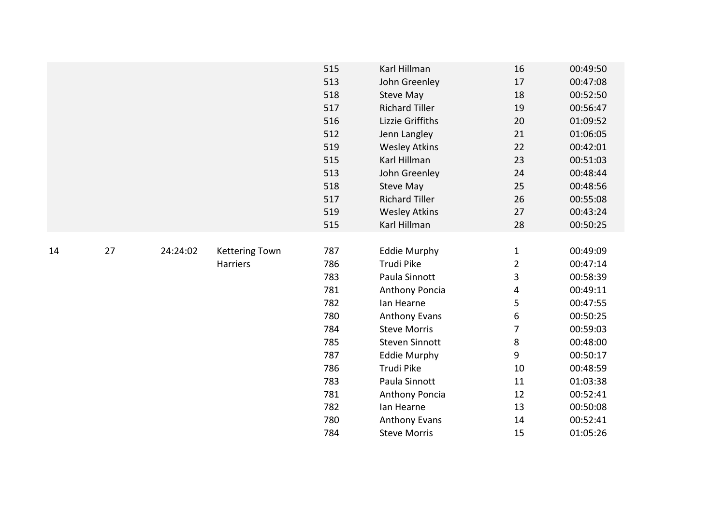|    |    |          |                       | 515 | Karl Hillman          | 16             | 00:49:50 |
|----|----|----------|-----------------------|-----|-----------------------|----------------|----------|
|    |    |          |                       | 513 | John Greenley         | 17             | 00:47:08 |
|    |    |          |                       | 518 | <b>Steve May</b>      | 18             | 00:52:50 |
|    |    |          |                       | 517 | <b>Richard Tiller</b> | 19             | 00:56:47 |
|    |    |          |                       | 516 | Lizzie Griffiths      | 20             | 01:09:52 |
|    |    |          |                       | 512 | Jenn Langley          | 21             | 01:06:05 |
|    |    |          |                       | 519 | <b>Wesley Atkins</b>  | 22             | 00:42:01 |
|    |    |          |                       | 515 | Karl Hillman          | 23             | 00:51:03 |
|    |    |          |                       | 513 | John Greenley         | 24             | 00:48:44 |
|    |    |          |                       | 518 | <b>Steve May</b>      | 25             | 00:48:56 |
|    |    |          |                       | 517 | <b>Richard Tiller</b> | 26             | 00:55:08 |
|    |    |          |                       | 519 | <b>Wesley Atkins</b>  | 27             | 00:43:24 |
|    |    |          |                       | 515 | Karl Hillman          | 28             | 00:50:25 |
|    |    |          |                       |     |                       |                |          |
| 14 | 27 | 24:24:02 | <b>Kettering Town</b> | 787 | <b>Eddie Murphy</b>   | $\mathbf{1}$   | 00:49:09 |
|    |    |          | Harriers              | 786 | Trudi Pike            | $\overline{2}$ | 00:47:14 |
|    |    |          |                       | 783 | Paula Sinnott         | 3              | 00:58:39 |
|    |    |          |                       | 781 | Anthony Poncia        | 4              | 00:49:11 |
|    |    |          |                       | 782 | lan Hearne            | 5              | 00:47:55 |
|    |    |          |                       | 780 | <b>Anthony Evans</b>  | 6              | 00:50:25 |
|    |    |          |                       | 784 | <b>Steve Morris</b>   | 7              | 00:59:03 |
|    |    |          |                       | 785 | <b>Steven Sinnott</b> | 8              | 00:48:00 |
|    |    |          |                       | 787 | <b>Eddie Murphy</b>   | 9              | 00:50:17 |
|    |    |          |                       | 786 | Trudi Pike            | 10             | 00:48:59 |
|    |    |          |                       | 783 | Paula Sinnott         | 11             | 01:03:38 |
|    |    |          |                       | 781 | Anthony Poncia        | 12             | 00:52:41 |
|    |    |          |                       | 782 | Ian Hearne            | 13             | 00:50:08 |
|    |    |          |                       | 780 | <b>Anthony Evans</b>  | 14             | 00:52:41 |
|    |    |          |                       | 784 | <b>Steve Morris</b>   | 15             | 01:05:26 |
|    |    |          |                       |     |                       |                |          |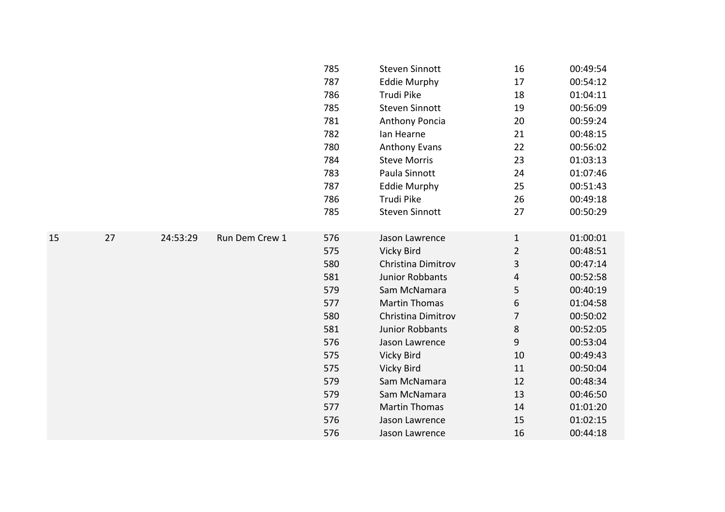|    |    |          |                | 785 | <b>Steven Sinnott</b> | 16             | 00:49:54 |
|----|----|----------|----------------|-----|-----------------------|----------------|----------|
|    |    |          |                | 787 | <b>Eddie Murphy</b>   | 17             | 00:54:12 |
|    |    |          |                | 786 | Trudi Pike            | 18             | 01:04:11 |
|    |    |          |                | 785 | <b>Steven Sinnott</b> | 19             | 00:56:09 |
|    |    |          |                | 781 | Anthony Poncia        | 20             | 00:59:24 |
|    |    |          |                | 782 | Ian Hearne            | 21             | 00:48:15 |
|    |    |          |                | 780 | <b>Anthony Evans</b>  | 22             | 00:56:02 |
|    |    |          |                | 784 | <b>Steve Morris</b>   | 23             | 01:03:13 |
|    |    |          |                | 783 | Paula Sinnott         | 24             | 01:07:46 |
|    |    |          |                | 787 | <b>Eddie Murphy</b>   | 25             | 00:51:43 |
|    |    |          |                | 786 | Trudi Pike            | 26             | 00:49:18 |
|    |    |          |                | 785 | <b>Steven Sinnott</b> | 27             | 00:50:29 |
|    |    |          |                |     |                       |                |          |
| 15 | 27 | 24:53:29 | Run Dem Crew 1 | 576 | Jason Lawrence        | $\mathbf{1}$   | 01:00:01 |
|    |    |          |                | 575 | Vicky Bird            | $\overline{2}$ | 00:48:51 |
|    |    |          |                | 580 | Christina Dimitrov    | 3              | 00:47:14 |
|    |    |          |                | 581 | Junior Robbants       | 4              | 00:52:58 |
|    |    |          |                | 579 | Sam McNamara          | 5              | 00:40:19 |
|    |    |          |                | 577 | <b>Martin Thomas</b>  | 6              | 01:04:58 |
|    |    |          |                | 580 | Christina Dimitrov    | $\overline{7}$ | 00:50:02 |
|    |    |          |                | 581 | Junior Robbants       | 8              | 00:52:05 |
|    |    |          |                | 576 | Jason Lawrence        | 9              | 00:53:04 |
|    |    |          |                | 575 | Vicky Bird            | 10             | 00:49:43 |
|    |    |          |                | 575 | <b>Vicky Bird</b>     | 11             | 00:50:04 |
|    |    |          |                | 579 | Sam McNamara          | 12             | 00:48:34 |
|    |    |          |                | 579 | Sam McNamara          | 13             | 00:46:50 |
|    |    |          |                | 577 | <b>Martin Thomas</b>  | 14             | 01:01:20 |
|    |    |          |                | 576 | Jason Lawrence        | 15             | 01:02:15 |
|    |    |          |                | 576 | Jason Lawrence        | 16             | 00:44:18 |
|    |    |          |                |     |                       |                |          |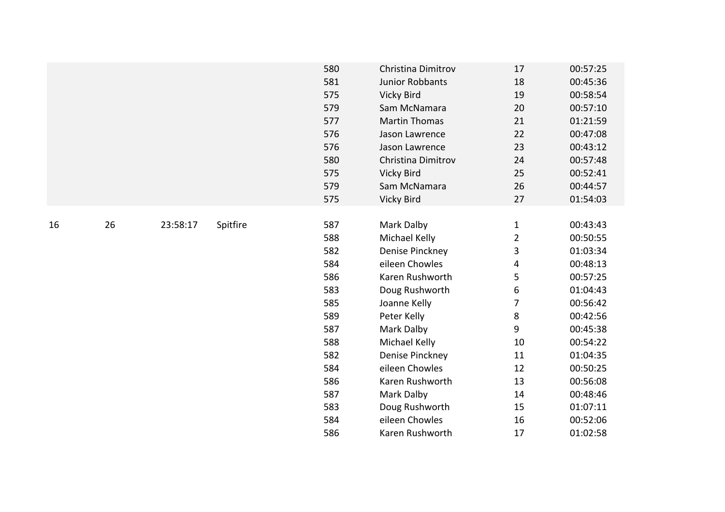|    |    |          |          | 580<br>581<br>575<br>579<br>577<br>576<br>576<br>580<br>575<br>579<br>575               | Christina Dimitrov<br><b>Junior Robbants</b><br><b>Vicky Bird</b><br>Sam McNamara<br><b>Martin Thomas</b><br>Jason Lawrence<br>Jason Lawrence<br>Christina Dimitrov<br>Vicky Bird<br>Sam McNamara<br>Vicky Bird             | 17<br>18<br>19<br>20<br>21<br>22<br>23<br>24<br>25<br>26<br>27                                         | 00:57:25<br>00:45:36<br>00:58:54<br>00:57:10<br>01:21:59<br>00:47:08<br>00:43:12<br>00:57:48<br>00:52:41<br>00:44:57<br>01:54:03                         |
|----|----|----------|----------|-----------------------------------------------------------------------------------------|-----------------------------------------------------------------------------------------------------------------------------------------------------------------------------------------------------------------------------|--------------------------------------------------------------------------------------------------------|----------------------------------------------------------------------------------------------------------------------------------------------------------|
| 16 | 26 | 23:58:17 | Spitfire | 587<br>588<br>582<br>584<br>586<br>583<br>585<br>589<br>587<br>588<br>582<br>584<br>586 | Mark Dalby<br>Michael Kelly<br>Denise Pinckney<br>eileen Chowles<br>Karen Rushworth<br>Doug Rushworth<br>Joanne Kelly<br>Peter Kelly<br>Mark Dalby<br>Michael Kelly<br>Denise Pinckney<br>eileen Chowles<br>Karen Rushworth | $\mathbf{1}$<br>$\overline{2}$<br>3<br>4<br>5<br>6<br>$\overline{7}$<br>8<br>9<br>10<br>11<br>12<br>13 | 00:43:43<br>00:50:55<br>01:03:34<br>00:48:13<br>00:57:25<br>01:04:43<br>00:56:42<br>00:42:56<br>00:45:38<br>00:54:22<br>01:04:35<br>00:50:25<br>00:56:08 |
|    |    |          |          | 587<br>583                                                                              | Mark Dalby<br>Doug Rushworth                                                                                                                                                                                                | 14<br>15                                                                                               | 00:48:46<br>01:07:11                                                                                                                                     |
|    |    |          |          | 584                                                                                     | eileen Chowles                                                                                                                                                                                                              | 16                                                                                                     | 00:52:06                                                                                                                                                 |
|    |    |          |          | 586                                                                                     | Karen Rushworth                                                                                                                                                                                                             | 17                                                                                                     | 01:02:58                                                                                                                                                 |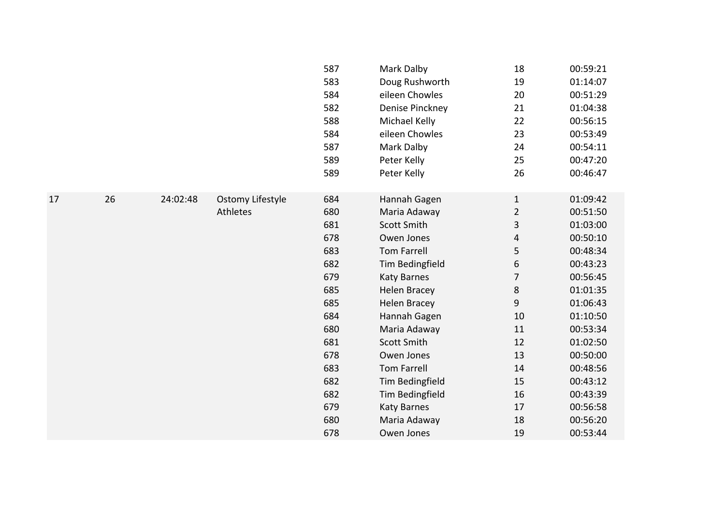|    |    |          |                         | 587 | Mark Dalby          | 18             | 00:59:21 |
|----|----|----------|-------------------------|-----|---------------------|----------------|----------|
|    |    |          |                         | 583 | Doug Rushworth      | 19             | 01:14:07 |
|    |    |          |                         | 584 | eileen Chowles      | 20             | 00:51:29 |
|    |    |          |                         | 582 | Denise Pinckney     | 21             | 01:04:38 |
|    |    |          |                         | 588 | Michael Kelly       | 22             | 00:56:15 |
|    |    |          |                         | 584 | eileen Chowles      | 23             | 00:53:49 |
|    |    |          |                         | 587 | Mark Dalby          | 24             | 00:54:11 |
|    |    |          |                         | 589 | Peter Kelly         | 25             | 00:47:20 |
|    |    |          |                         | 589 | Peter Kelly         | 26             | 00:46:47 |
|    |    |          |                         |     |                     |                |          |
| 17 | 26 | 24:02:48 | <b>Ostomy Lifestyle</b> | 684 | Hannah Gagen        | $\mathbf{1}$   | 01:09:42 |
|    |    |          | Athletes                | 680 | Maria Adaway        | $\overline{2}$ | 00:51:50 |
|    |    |          |                         | 681 | <b>Scott Smith</b>  | 3              | 01:03:00 |
|    |    |          |                         | 678 | Owen Jones          | 4              | 00:50:10 |
|    |    |          |                         | 683 | <b>Tom Farrell</b>  | 5              | 00:48:34 |
|    |    |          |                         | 682 | Tim Bedingfield     | 6              | 00:43:23 |
|    |    |          |                         | 679 | <b>Katy Barnes</b>  | 7              | 00:56:45 |
|    |    |          |                         | 685 | <b>Helen Bracey</b> | $\,8\,$        | 01:01:35 |
|    |    |          |                         | 685 | <b>Helen Bracey</b> | 9              | 01:06:43 |
|    |    |          |                         | 684 | Hannah Gagen        | 10             | 01:10:50 |
|    |    |          |                         | 680 | Maria Adaway        | 11             | 00:53:34 |
|    |    |          |                         | 681 | <b>Scott Smith</b>  | 12             | 01:02:50 |
|    |    |          |                         | 678 | Owen Jones          | 13             | 00:50:00 |
|    |    |          |                         | 683 | <b>Tom Farrell</b>  | 14             | 00:48:56 |
|    |    |          |                         | 682 | Tim Bedingfield     | 15             | 00:43:12 |
|    |    |          |                         | 682 | Tim Bedingfield     | 16             | 00:43:39 |
|    |    |          |                         | 679 | <b>Katy Barnes</b>  | 17             | 00:56:58 |
|    |    |          |                         | 680 | Maria Adaway        | 18             | 00:56:20 |
|    |    |          |                         | 678 | Owen Jones          | 19             | 00:53:44 |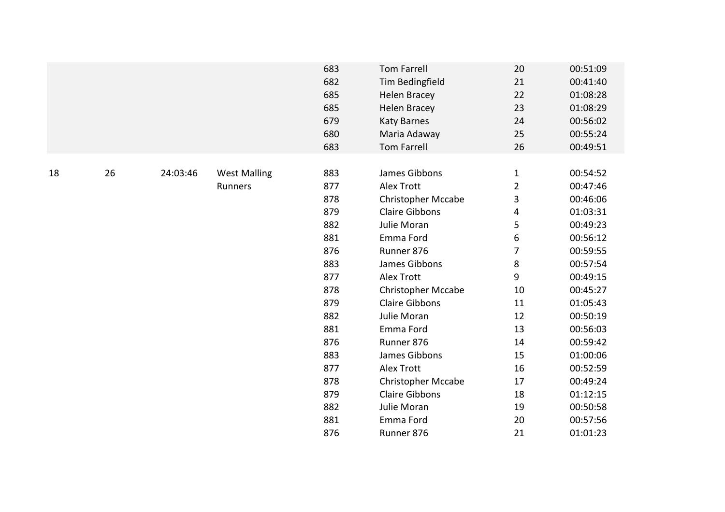|    |    |          |                                | 683<br>682<br>685<br>685<br>679<br>680<br>683                                                         | Tom Farrell<br>Tim Bedingfield<br><b>Helen Bracey</b><br><b>Helen Bracey</b><br>Katy Barnes<br>Maria Adaway<br><b>Tom Farrell</b>                                                                                                                                                         | 20<br>21<br>22<br>23<br>24<br>25<br>26                                                                                 | 00:51:09<br>00:41:40<br>01:08:28<br>01:08:29<br>00:56:02<br>00:55:24<br>00:49:51                                                                                                 |
|----|----|----------|--------------------------------|-------------------------------------------------------------------------------------------------------|-------------------------------------------------------------------------------------------------------------------------------------------------------------------------------------------------------------------------------------------------------------------------------------------|------------------------------------------------------------------------------------------------------------------------|----------------------------------------------------------------------------------------------------------------------------------------------------------------------------------|
| 18 | 26 | 24:03:46 | <b>West Malling</b><br>Runners | 883<br>877<br>878<br>879<br>882<br>881<br>876<br>883<br>877<br>878<br>879<br>882<br>881<br>876<br>883 | James Gibbons<br><b>Alex Trott</b><br><b>Christopher Mccabe</b><br><b>Claire Gibbons</b><br>Julie Moran<br>Emma Ford<br>Runner 876<br>James Gibbons<br><b>Alex Trott</b><br><b>Christopher Mccabe</b><br><b>Claire Gibbons</b><br>Julie Moran<br>Emma Ford<br>Runner 876<br>James Gibbons | $\mathbf{1}$<br>$\overline{2}$<br>$\mathbf{3}$<br>4<br>5<br>6<br>7<br>$\,8\,$<br>9<br>10<br>11<br>12<br>13<br>14<br>15 | 00:54:52<br>00:47:46<br>00:46:06<br>01:03:31<br>00:49:23<br>00:56:12<br>00:59:55<br>00:57:54<br>00:49:15<br>00:45:27<br>01:05:43<br>00:50:19<br>00:56:03<br>00:59:42<br>01:00:06 |
|    |    |          |                                | 877<br>878<br>879                                                                                     | <b>Alex Trott</b><br>Christopher Mccabe<br><b>Claire Gibbons</b>                                                                                                                                                                                                                          | 16<br>17<br>18                                                                                                         | 00:52:59<br>00:49:24<br>01:12:15                                                                                                                                                 |
|    |    |          |                                | 882                                                                                                   | Julie Moran                                                                                                                                                                                                                                                                               | 19                                                                                                                     | 00:50:58                                                                                                                                                                         |
|    |    |          |                                | 881                                                                                                   | Emma Ford                                                                                                                                                                                                                                                                                 | 20                                                                                                                     | 00:57:56                                                                                                                                                                         |
|    |    |          |                                | 876                                                                                                   | Runner 876                                                                                                                                                                                                                                                                                | 21                                                                                                                     | 01:01:23                                                                                                                                                                         |
|    |    |          |                                |                                                                                                       |                                                                                                                                                                                                                                                                                           |                                                                                                                        |                                                                                                                                                                                  |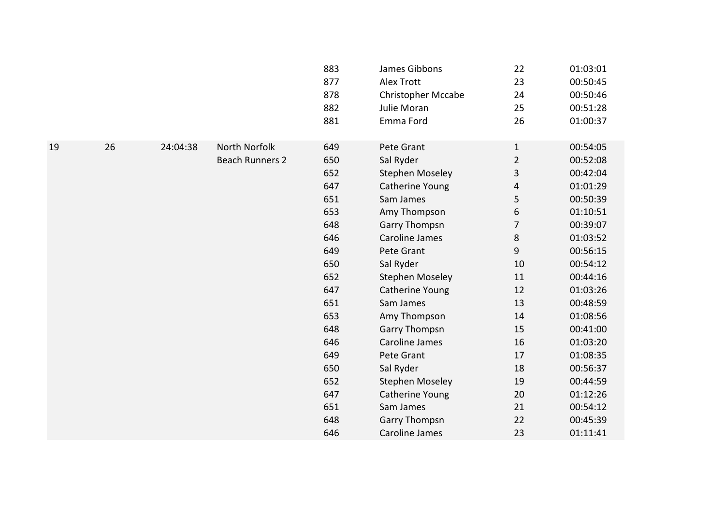|    |          | 883<br>877<br>878<br>882<br>881         | James Gibbons<br><b>Alex Trott</b><br><b>Christopher Mccabe</b><br>Julie Moran<br>Emma Ford | 22<br>23<br>24<br>25<br>26                                                                                                           | 01:03:01<br>00:50:45<br>00:50:46<br>00:51:28<br>01:00:37 |
|----|----------|-----------------------------------------|---------------------------------------------------------------------------------------------|--------------------------------------------------------------------------------------------------------------------------------------|----------------------------------------------------------|
| 26 | 24:04:38 | 649                                     | Pete Grant                                                                                  | $\mathbf{1}$                                                                                                                         | 00:54:05                                                 |
|    |          |                                         |                                                                                             |                                                                                                                                      | 00:52:08                                                 |
|    |          |                                         |                                                                                             |                                                                                                                                      | 00:42:04                                                 |
|    |          |                                         |                                                                                             |                                                                                                                                      | 01:01:29                                                 |
|    |          |                                         |                                                                                             |                                                                                                                                      | 00:50:39                                                 |
|    |          |                                         |                                                                                             |                                                                                                                                      | 01:10:51                                                 |
|    |          |                                         |                                                                                             |                                                                                                                                      | 00:39:07                                                 |
|    |          |                                         |                                                                                             |                                                                                                                                      | 01:03:52                                                 |
|    |          | 649                                     | Pete Grant                                                                                  | 9                                                                                                                                    | 00:56:15                                                 |
|    |          | 650                                     | Sal Ryder                                                                                   | 10                                                                                                                                   | 00:54:12                                                 |
|    |          | 652                                     | <b>Stephen Moseley</b>                                                                      | 11                                                                                                                                   | 00:44:16                                                 |
|    |          | 647                                     | <b>Catherine Young</b>                                                                      | 12                                                                                                                                   | 01:03:26                                                 |
|    |          | 651                                     | Sam James                                                                                   | 13                                                                                                                                   | 00:48:59                                                 |
|    |          | 653                                     | Amy Thompson                                                                                | 14                                                                                                                                   | 01:08:56                                                 |
|    |          | 648                                     | <b>Garry Thompsn</b>                                                                        | 15                                                                                                                                   | 00:41:00                                                 |
|    |          | 646                                     | <b>Caroline James</b>                                                                       | 16                                                                                                                                   | 01:03:20                                                 |
|    |          | 649                                     | Pete Grant                                                                                  | 17                                                                                                                                   | 01:08:35                                                 |
|    |          | 650                                     | Sal Ryder                                                                                   | 18                                                                                                                                   | 00:56:37                                                 |
|    |          | 652                                     | <b>Stephen Moseley</b>                                                                      | 19                                                                                                                                   | 00:44:59                                                 |
|    |          | 647                                     | Catherine Young                                                                             | 20                                                                                                                                   | 01:12:26                                                 |
|    |          | 651                                     | Sam James                                                                                   | 21                                                                                                                                   | 00:54:12                                                 |
|    |          | 648                                     | <b>Garry Thompsn</b>                                                                        | 22                                                                                                                                   | 00:45:39                                                 |
|    |          | 646                                     | <b>Caroline James</b>                                                                       | 23                                                                                                                                   | 01:11:41                                                 |
|    |          | North Norfolk<br><b>Beach Runners 2</b> | 650<br>652<br>647<br>651<br>653<br>648<br>646                                               | Sal Ryder<br><b>Stephen Moseley</b><br>Catherine Young<br>Sam James<br>Amy Thompson<br><b>Garry Thompsn</b><br><b>Caroline James</b> | $\overline{2}$<br>3<br>4<br>5<br>6<br>7<br>$\,8\,$       |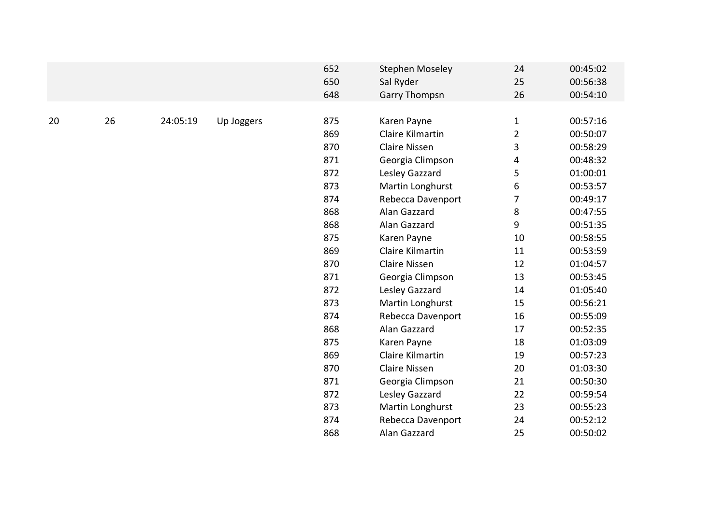|    |    |          |            | 652<br>650<br>648 | <b>Stephen Moseley</b><br>Sal Ryder<br><b>Garry Thompsn</b> | 24<br>25<br>26 | 00:45:02<br>00:56:38<br>00:54:10 |
|----|----|----------|------------|-------------------|-------------------------------------------------------------|----------------|----------------------------------|
| 20 | 26 | 24:05:19 |            | 875               |                                                             |                | 00:57:16                         |
|    |    |          | Up Joggers |                   | Karen Payne                                                 | $\mathbf{1}$   |                                  |
|    |    |          |            | 869               | Claire Kilmartin                                            | $\overline{2}$ | 00:50:07                         |
|    |    |          |            | 870               | <b>Claire Nissen</b>                                        | 3              | 00:58:29                         |
|    |    |          |            | 871               | Georgia Climpson                                            | 4              | 00:48:32                         |
|    |    |          |            | 872               | Lesley Gazzard                                              | 5              | 01:00:01                         |
|    |    |          |            | 873               | Martin Longhurst                                            | 6              | 00:53:57                         |
|    |    |          |            | 874               | Rebecca Davenport                                           | $\overline{7}$ | 00:49:17                         |
|    |    |          |            | 868               | Alan Gazzard                                                | 8              | 00:47:55                         |
|    |    |          |            | 868               | Alan Gazzard                                                | 9              | 00:51:35                         |
|    |    |          |            | 875               | Karen Payne                                                 | 10             | 00:58:55                         |
|    |    |          |            | 869               | Claire Kilmartin                                            | 11             | 00:53:59                         |
|    |    |          |            | 870               | <b>Claire Nissen</b>                                        | 12             | 01:04:57                         |
|    |    |          |            | 871               | Georgia Climpson                                            | 13             | 00:53:45                         |
|    |    |          |            | 872               | Lesley Gazzard                                              | 14             | 01:05:40                         |
|    |    |          |            | 873               | Martin Longhurst                                            | 15             | 00:56:21                         |
|    |    |          |            | 874               | Rebecca Davenport                                           | 16             | 00:55:09                         |
|    |    |          |            | 868               | Alan Gazzard                                                | 17             | 00:52:35                         |
|    |    |          |            | 875               | Karen Payne                                                 | 18             | 01:03:09                         |
|    |    |          |            | 869               | Claire Kilmartin                                            | 19             | 00:57:23                         |
|    |    |          |            | 870               | <b>Claire Nissen</b>                                        | 20             | 01:03:30                         |
|    |    |          |            | 871               | Georgia Climpson                                            | 21             | 00:50:30                         |
|    |    |          |            | 872               | Lesley Gazzard                                              | 22             | 00:59:54                         |
|    |    |          |            | 873               | Martin Longhurst                                            | 23             | 00:55:23                         |
|    |    |          |            | 874               |                                                             | 24             | 00:52:12                         |
|    |    |          |            |                   | Rebecca Davenport                                           |                |                                  |
|    |    |          |            | 868               | Alan Gazzard                                                | 25             | 00:50:02                         |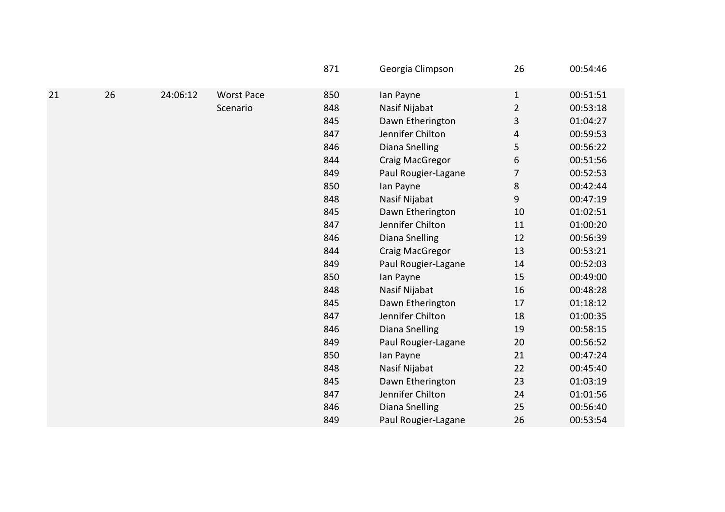|    |    |          |                   | 871 | Georgia Climpson      | 26             | 00:54:46 |
|----|----|----------|-------------------|-----|-----------------------|----------------|----------|
| 21 | 26 | 24:06:12 | <b>Worst Pace</b> | 850 | lan Payne             | $\mathbf{1}$   | 00:51:51 |
|    |    |          | Scenario          | 848 | Nasif Nijabat         | $\overline{2}$ | 00:53:18 |
|    |    |          |                   | 845 | Dawn Etherington      | 3              | 01:04:27 |
|    |    |          |                   | 847 | Jennifer Chilton      | 4              | 00:59:53 |
|    |    |          |                   | 846 | <b>Diana Snelling</b> | 5              | 00:56:22 |
|    |    |          |                   | 844 | Craig MacGregor       | 6              | 00:51:56 |
|    |    |          |                   | 849 | Paul Rougier-Lagane   | 7              | 00:52:53 |
|    |    |          |                   | 850 | lan Payne             | 8              | 00:42:44 |
|    |    |          |                   | 848 | Nasif Nijabat         | 9              | 00:47:19 |
|    |    |          |                   | 845 | Dawn Etherington      | 10             | 01:02:51 |
|    |    |          |                   | 847 | Jennifer Chilton      | 11             | 01:00:20 |
|    |    |          |                   | 846 | Diana Snelling        | 12             | 00:56:39 |
|    |    |          |                   | 844 | Craig MacGregor       | 13             | 00:53:21 |
|    |    |          |                   | 849 | Paul Rougier-Lagane   | 14             | 00:52:03 |
|    |    |          |                   | 850 | lan Payne             | 15             | 00:49:00 |
|    |    |          |                   | 848 | Nasif Nijabat         | 16             | 00:48:28 |
|    |    |          |                   | 845 | Dawn Etherington      | 17             | 01:18:12 |
|    |    |          |                   | 847 | Jennifer Chilton      | 18             | 01:00:35 |
|    |    |          |                   | 846 | Diana Snelling        | 19             | 00:58:15 |
|    |    |          |                   | 849 | Paul Rougier-Lagane   | 20             | 00:56:52 |
|    |    |          |                   | 850 | lan Payne             | 21             | 00:47:24 |
|    |    |          |                   | 848 | Nasif Nijabat         | 22             | 00:45:40 |
|    |    |          |                   | 845 | Dawn Etherington      | 23             | 01:03:19 |
|    |    |          |                   | 847 | Jennifer Chilton      | 24             | 01:01:56 |
|    |    |          |                   | 846 | <b>Diana Snelling</b> | 25             | 00:56:40 |
|    |    |          |                   | 849 | Paul Rougier-Lagane   | 26             | 00:53:54 |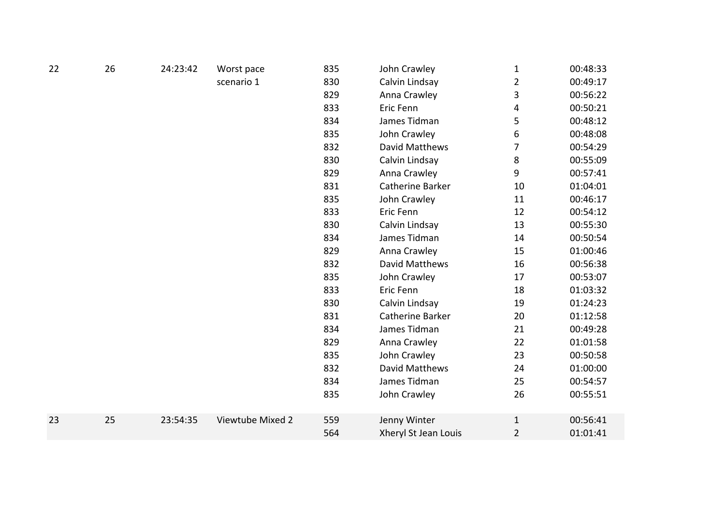| 22 | 26 | 24:23:42 | Worst pace       | 835 | John Crawley            | $\mathbf{1}$   | 00:48:33 |
|----|----|----------|------------------|-----|-------------------------|----------------|----------|
|    |    |          | scenario 1       | 830 | Calvin Lindsay          | $\overline{2}$ | 00:49:17 |
|    |    |          |                  | 829 | Anna Crawley            | 3              | 00:56:22 |
|    |    |          |                  | 833 | Eric Fenn               | 4              | 00:50:21 |
|    |    |          |                  | 834 | James Tidman            | 5              | 00:48:12 |
|    |    |          |                  | 835 | John Crawley            | 6              | 00:48:08 |
|    |    |          |                  | 832 | David Matthews          | 7              | 00:54:29 |
|    |    |          |                  | 830 | Calvin Lindsay          | 8              | 00:55:09 |
|    |    |          |                  | 829 | Anna Crawley            | 9              | 00:57:41 |
|    |    |          |                  | 831 | <b>Catherine Barker</b> | 10             | 01:04:01 |
|    |    |          |                  | 835 | John Crawley            | 11             | 00:46:17 |
|    |    |          |                  | 833 | Eric Fenn               | 12             | 00:54:12 |
|    |    |          |                  | 830 | Calvin Lindsay          | 13             | 00:55:30 |
|    |    |          |                  | 834 | James Tidman            | 14             | 00:50:54 |
|    |    |          |                  | 829 | Anna Crawley            | 15             | 01:00:46 |
|    |    |          |                  | 832 | David Matthews          | 16             | 00:56:38 |
|    |    |          |                  | 835 | John Crawley            | 17             | 00:53:07 |
|    |    |          |                  | 833 | Eric Fenn               | 18             | 01:03:32 |
|    |    |          |                  | 830 | Calvin Lindsay          | 19             | 01:24:23 |
|    |    |          |                  | 831 | Catherine Barker        | 20             | 01:12:58 |
|    |    |          |                  | 834 | James Tidman            | 21             | 00:49:28 |
|    |    |          |                  | 829 | Anna Crawley            | 22             | 01:01:58 |
|    |    |          |                  | 835 | John Crawley            | 23             | 00:50:58 |
|    |    |          |                  | 832 | David Matthews          | 24             | 01:00:00 |
|    |    |          |                  | 834 | James Tidman            | 25             | 00:54:57 |
|    |    |          |                  | 835 | John Crawley            | 26             | 00:55:51 |
| 23 | 25 | 23:54:35 | Viewtube Mixed 2 | 559 | Jenny Winter            | $\mathbf{1}$   | 00:56:41 |
|    |    |          |                  | 564 | Xheryl St Jean Louis    | $\overline{2}$ | 01:01:41 |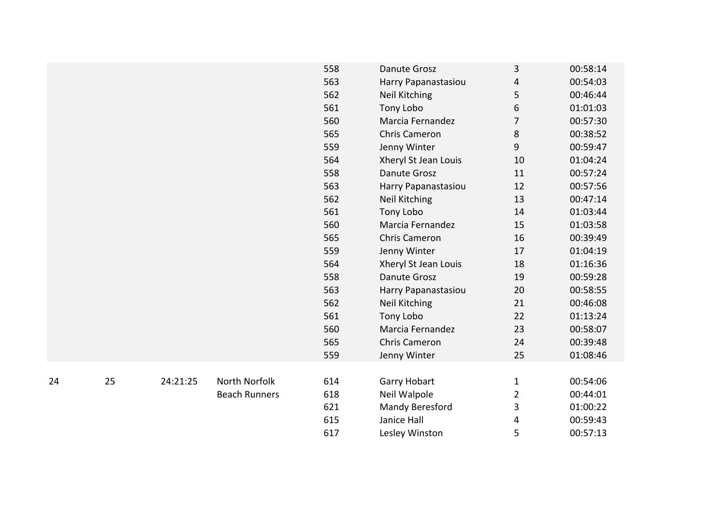|    |    |          |                      | 558 | <b>Danute Grosz</b>  | 3              | 00:58:14 |
|----|----|----------|----------------------|-----|----------------------|----------------|----------|
|    |    |          |                      | 563 | Harry Papanastasiou  | 4              | 00:54:03 |
|    |    |          |                      | 562 | <b>Neil Kitching</b> | 5              | 00:46:44 |
|    |    |          |                      | 561 | Tony Lobo            | 6              | 01:01:03 |
|    |    |          |                      | 560 | Marcia Fernandez     | $\overline{7}$ | 00:57:30 |
|    |    |          |                      | 565 | <b>Chris Cameron</b> | 8              | 00:38:52 |
|    |    |          |                      | 559 | Jenny Winter         | 9              | 00:59:47 |
|    |    |          |                      | 564 | Xheryl St Jean Louis | 10             | 01:04:24 |
|    |    |          |                      | 558 | <b>Danute Grosz</b>  | 11             | 00:57:24 |
|    |    |          |                      | 563 | Harry Papanastasiou  | 12             | 00:57:56 |
|    |    |          |                      | 562 | <b>Neil Kitching</b> | 13             | 00:47:14 |
|    |    |          |                      | 561 | Tony Lobo            | 14             | 01:03:44 |
|    |    |          |                      | 560 | Marcia Fernandez     | 15             | 01:03:58 |
|    |    |          |                      | 565 | <b>Chris Cameron</b> | 16             | 00:39:49 |
|    |    |          |                      | 559 | Jenny Winter         | 17             | 01:04:19 |
|    |    |          |                      | 564 | Xheryl St Jean Louis | 18             | 01:16:36 |
|    |    |          |                      | 558 | <b>Danute Grosz</b>  | 19             | 00:59:28 |
|    |    |          |                      | 563 | Harry Papanastasiou  | 20             | 00:58:55 |
|    |    |          |                      | 562 | <b>Neil Kitching</b> | 21             | 00:46:08 |
|    |    |          |                      | 561 | Tony Lobo            | 22             | 01:13:24 |
|    |    |          |                      | 560 | Marcia Fernandez     | 23             | 00:58:07 |
|    |    |          |                      | 565 | <b>Chris Cameron</b> | 24             | 00:39:48 |
|    |    |          |                      | 559 | Jenny Winter         | 25             | 01:08:46 |
|    |    |          |                      |     |                      |                |          |
| 24 | 25 | 24:21:25 | North Norfolk        | 614 | Garry Hobart         | $\mathbf{1}$   | 00:54:06 |
|    |    |          | <b>Beach Runners</b> | 618 | Neil Walpole         | $\overline{2}$ | 00:44:01 |
|    |    |          |                      | 621 | Mandy Beresford      | 3              | 01:00:22 |
|    |    |          |                      | 615 | Janice Hall          | 4              | 00:59:43 |
|    |    |          |                      | 617 | Lesley Winston       | 5              | 00:57:13 |
|    |    |          |                      |     |                      |                |          |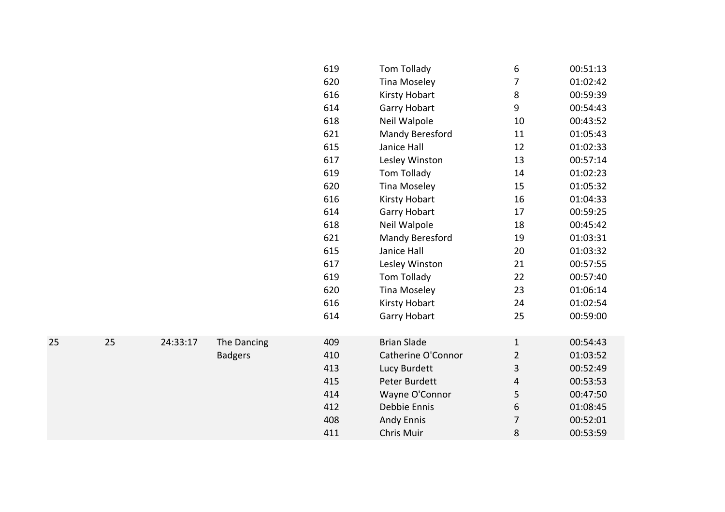|    |    |          |                | 619 | Tom Tollady            | 6              | 00:51:13 |
|----|----|----------|----------------|-----|------------------------|----------------|----------|
|    |    |          |                | 620 | <b>Tina Moseley</b>    | 7              | 01:02:42 |
|    |    |          |                | 616 | Kirsty Hobart          | 8              | 00:59:39 |
|    |    |          |                | 614 | <b>Garry Hobart</b>    | 9              | 00:54:43 |
|    |    |          |                | 618 | Neil Walpole           | 10             | 00:43:52 |
|    |    |          |                | 621 | Mandy Beresford        | 11             | 01:05:43 |
|    |    |          |                | 615 | Janice Hall            | 12             | 01:02:33 |
|    |    |          |                | 617 | Lesley Winston         | 13             | 00:57:14 |
|    |    |          |                | 619 | Tom Tollady            | 14             | 01:02:23 |
|    |    |          |                | 620 | <b>Tina Moseley</b>    | 15             | 01:05:32 |
|    |    |          |                | 616 | <b>Kirsty Hobart</b>   | 16             | 01:04:33 |
|    |    |          |                | 614 | Garry Hobart           | 17             | 00:59:25 |
|    |    |          |                | 618 | Neil Walpole           | 18             | 00:45:42 |
|    |    |          |                | 621 | <b>Mandy Beresford</b> | 19             | 01:03:31 |
|    |    |          |                | 615 | Janice Hall            | 20             | 01:03:32 |
|    |    |          |                | 617 | Lesley Winston         | 21             | 00:57:55 |
|    |    |          |                | 619 | Tom Tollady            | 22             | 00:57:40 |
|    |    |          |                | 620 | <b>Tina Moseley</b>    | 23             | 01:06:14 |
|    |    |          |                | 616 | Kirsty Hobart          | 24             | 01:02:54 |
|    |    |          |                | 614 | Garry Hobart           | 25             | 00:59:00 |
|    |    |          |                |     |                        |                |          |
| 25 | 25 | 24:33:17 | The Dancing    | 409 | <b>Brian Slade</b>     | $\mathbf{1}$   | 00:54:43 |
|    |    |          | <b>Badgers</b> | 410 | Catherine O'Connor     | $\overline{2}$ | 01:03:52 |
|    |    |          |                | 413 | Lucy Burdett           | 3              | 00:52:49 |
|    |    |          |                | 415 | Peter Burdett          | 4              | 00:53:53 |
|    |    |          |                | 414 | Wayne O'Connor         | 5              | 00:47:50 |
|    |    |          |                | 412 | Debbie Ennis           | 6              | 01:08:45 |
|    |    |          |                | 408 | <b>Andy Ennis</b>      | 7              | 00:52:01 |
|    |    |          |                | 411 | <b>Chris Muir</b>      | 8              | 00:53:59 |
|    |    |          |                |     |                        |                |          |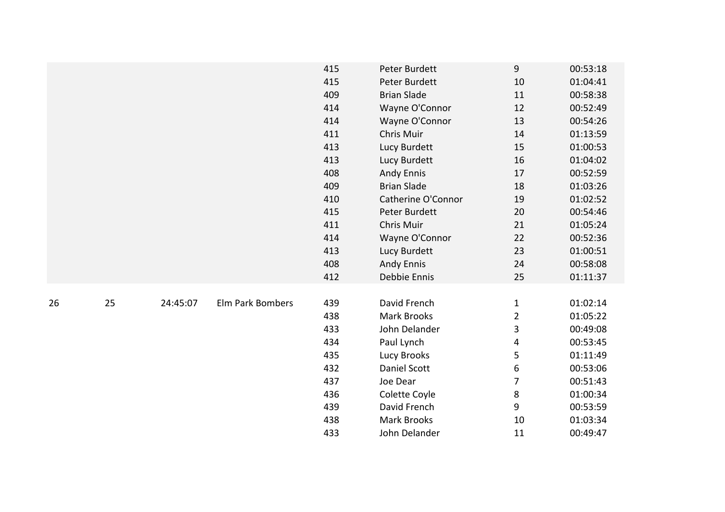|    |    |          |                  | 415 | Peter Burdett      | $9\,$          | 00:53:18 |
|----|----|----------|------------------|-----|--------------------|----------------|----------|
|    |    |          |                  | 415 | Peter Burdett      | 10             | 01:04:41 |
|    |    |          |                  | 409 | <b>Brian Slade</b> | 11             | 00:58:38 |
|    |    |          |                  | 414 | Wayne O'Connor     | 12             | 00:52:49 |
|    |    |          |                  | 414 | Wayne O'Connor     | 13             | 00:54:26 |
|    |    |          |                  | 411 | Chris Muir         | 14             | 01:13:59 |
|    |    |          |                  | 413 | Lucy Burdett       | 15             | 01:00:53 |
|    |    |          |                  | 413 | Lucy Burdett       | 16             | 01:04:02 |
|    |    |          |                  | 408 | <b>Andy Ennis</b>  | 17             | 00:52:59 |
|    |    |          |                  | 409 | <b>Brian Slade</b> | 18             | 01:03:26 |
|    |    |          |                  | 410 | Catherine O'Connor | 19             | 01:02:52 |
|    |    |          |                  | 415 | Peter Burdett      | 20             | 00:54:46 |
|    |    |          |                  | 411 | Chris Muir         | 21             | 01:05:24 |
|    |    |          |                  | 414 | Wayne O'Connor     | 22             | 00:52:36 |
|    |    |          |                  | 413 | Lucy Burdett       | 23             | 01:00:51 |
|    |    |          |                  | 408 | <b>Andy Ennis</b>  | 24             | 00:58:08 |
|    |    |          |                  | 412 | Debbie Ennis       | 25             | 01:11:37 |
|    |    |          |                  |     |                    |                |          |
| 26 | 25 | 24:45:07 | Elm Park Bombers | 439 | David French       | $\mathbf{1}$   | 01:02:14 |
|    |    |          |                  | 438 | <b>Mark Brooks</b> | $\overline{2}$ | 01:05:22 |
|    |    |          |                  | 433 | John Delander      | 3              | 00:49:08 |
|    |    |          |                  | 434 | Paul Lynch         | 4              | 00:53:45 |
|    |    |          |                  | 435 | Lucy Brooks        | 5              | 01:11:49 |
|    |    |          |                  | 432 | Daniel Scott       | 6              | 00:53:06 |
|    |    |          |                  | 437 | Joe Dear           | $\overline{7}$ | 00:51:43 |
|    |    |          |                  | 436 | Colette Coyle      | $\,8\,$        | 01:00:34 |
|    |    |          |                  | 439 | David French       | 9              | 00:53:59 |
|    |    |          |                  | 438 | <b>Mark Brooks</b> | 10             | 01:03:34 |
|    |    |          |                  | 433 | John Delander      | 11             | 00:49:47 |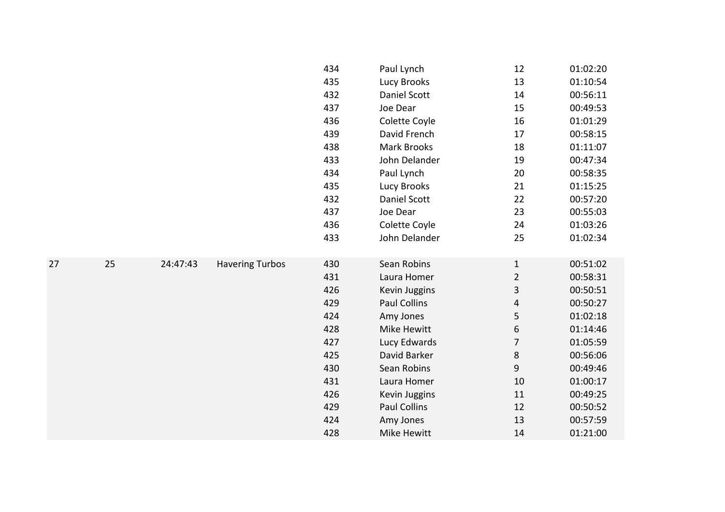|    |    |          |                        | 434 | Paul Lynch          | 12             | 01:02:20 |
|----|----|----------|------------------------|-----|---------------------|----------------|----------|
|    |    |          |                        | 435 | <b>Lucy Brooks</b>  | 13             | 01:10:54 |
|    |    |          |                        | 432 | <b>Daniel Scott</b> | 14             | 00:56:11 |
|    |    |          |                        | 437 | Joe Dear            | 15             | 00:49:53 |
|    |    |          |                        | 436 | Colette Coyle       | 16             | 01:01:29 |
|    |    |          |                        | 439 | David French        | 17             | 00:58:15 |
|    |    |          |                        | 438 | Mark Brooks         | 18             | 01:11:07 |
|    |    |          |                        | 433 | John Delander       | 19             | 00:47:34 |
|    |    |          |                        | 434 | Paul Lynch          | 20             | 00:58:35 |
|    |    |          |                        | 435 | Lucy Brooks         | 21             | 01:15:25 |
|    |    |          |                        | 432 | Daniel Scott        | 22             | 00:57:20 |
|    |    |          |                        | 437 | Joe Dear            | 23             | 00:55:03 |
|    |    |          |                        | 436 | Colette Coyle       | 24             | 01:03:26 |
|    |    |          |                        | 433 | John Delander       | 25             | 01:02:34 |
|    |    |          |                        |     |                     |                |          |
| 27 | 25 | 24:47:43 | <b>Havering Turbos</b> | 430 | Sean Robins         | $\mathbf{1}$   | 00:51:02 |
|    |    |          |                        | 431 | Laura Homer         | $\overline{2}$ | 00:58:31 |
|    |    |          |                        | 426 | Kevin Juggins       | 3              | 00:50:51 |
|    |    |          |                        | 429 | Paul Collins        | 4              | 00:50:27 |
|    |    |          |                        | 424 | Amy Jones           | 5              | 01:02:18 |
|    |    |          |                        | 428 | Mike Hewitt         | 6              | 01:14:46 |
|    |    |          |                        | 427 | Lucy Edwards        | 7              | 01:05:59 |
|    |    |          |                        | 425 | David Barker        | $\bf 8$        | 00:56:06 |
|    |    |          |                        | 430 | Sean Robins         | 9              | 00:49:46 |
|    |    |          |                        | 431 | Laura Homer         | 10             | 01:00:17 |
|    |    |          |                        | 426 | Kevin Juggins       | 11             | 00:49:25 |
|    |    |          |                        | 429 | Paul Collins        | 12             | 00:50:52 |
|    |    |          |                        | 424 | Amy Jones           | 13             | 00:57:59 |
|    |    |          |                        | 428 | Mike Hewitt         | 14             | 01:21:00 |
|    |    |          |                        |     |                     |                |          |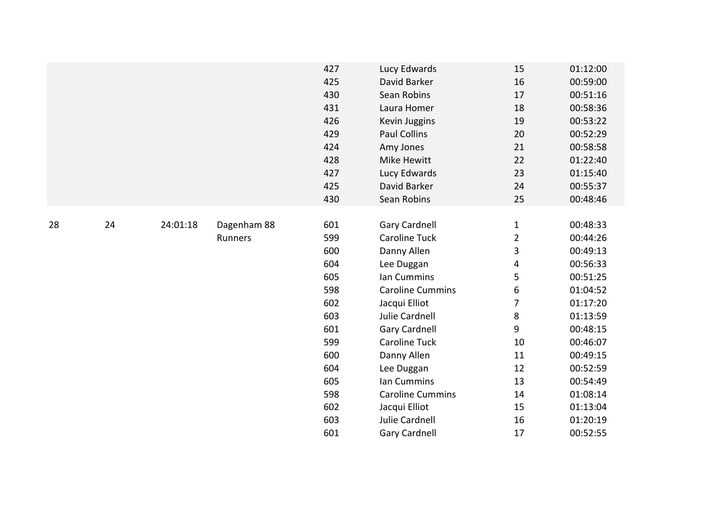|    |    |          |             | 427 | Lucy Edwards            | 15             | 01:12:00 |
|----|----|----------|-------------|-----|-------------------------|----------------|----------|
|    |    |          |             | 425 | David Barker            | 16             | 00:59:00 |
|    |    |          |             | 430 | Sean Robins             | 17             | 00:51:16 |
|    |    |          |             | 431 | Laura Homer             | 18             | 00:58:36 |
|    |    |          |             | 426 | Kevin Juggins           | 19             | 00:53:22 |
|    |    |          |             | 429 | <b>Paul Collins</b>     | 20             | 00:52:29 |
|    |    |          |             | 424 | Amy Jones               | 21             | 00:58:58 |
|    |    |          |             | 428 | Mike Hewitt             | 22             | 01:22:40 |
|    |    |          |             | 427 | Lucy Edwards            | 23             | 01:15:40 |
|    |    |          |             | 425 | David Barker            | 24             | 00:55:37 |
|    |    |          |             | 430 | Sean Robins             | 25             | 00:48:46 |
|    |    |          |             |     |                         |                |          |
| 28 | 24 | 24:01:18 | Dagenham 88 | 601 | Gary Cardnell           | $\mathbf{1}$   | 00:48:33 |
|    |    |          | Runners     | 599 | <b>Caroline Tuck</b>    | $\overline{2}$ | 00:44:26 |
|    |    |          |             | 600 | Danny Allen             | 3              | 00:49:13 |
|    |    |          |             | 604 | Lee Duggan              | 4              | 00:56:33 |
|    |    |          |             | 605 | Ian Cummins             | 5              | 00:51:25 |
|    |    |          |             | 598 | <b>Caroline Cummins</b> | 6              | 01:04:52 |
|    |    |          |             | 602 | Jacqui Elliot           | $\overline{7}$ | 01:17:20 |
|    |    |          |             | 603 | Julie Cardnell          | 8              | 01:13:59 |
|    |    |          |             | 601 | <b>Gary Cardnell</b>    | 9              | 00:48:15 |
|    |    |          |             | 599 | <b>Caroline Tuck</b>    | 10             | 00:46:07 |
|    |    |          |             | 600 | Danny Allen             | 11             | 00:49:15 |
|    |    |          |             | 604 | Lee Duggan              | 12             | 00:52:59 |
|    |    |          |             | 605 | Ian Cummins             | 13             | 00:54:49 |
|    |    |          |             | 598 | <b>Caroline Cummins</b> | 14             | 01:08:14 |
|    |    |          |             | 602 | Jacqui Elliot           | 15             | 01:13:04 |
|    |    |          |             | 603 | Julie Cardnell          | 16             | 01:20:19 |
|    |    |          |             | 601 | <b>Gary Cardnell</b>    | 17             | 00:52:55 |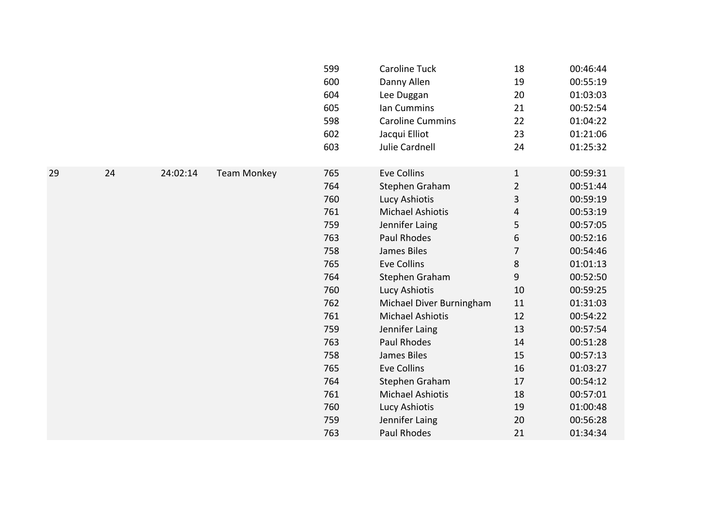|    |    |          |                    | 599<br>600<br>604<br>605<br>598<br>602<br>603 | Caroline Tuck<br>Danny Allen<br>Lee Duggan<br>Ian Cummins<br><b>Caroline Cummins</b><br>Jacqui Elliot<br>Julie Cardnell | 18<br>19<br>20<br>21<br>22<br>23<br>24 | 00:46:44<br>00:55:19<br>01:03:03<br>00:52:54<br>01:04:22<br>01:21:06<br>01:25:32 |
|----|----|----------|--------------------|-----------------------------------------------|-------------------------------------------------------------------------------------------------------------------------|----------------------------------------|----------------------------------------------------------------------------------|
| 29 | 24 | 24:02:14 | <b>Team Monkey</b> | 765<br>764                                    | <b>Eve Collins</b><br>Stephen Graham                                                                                    | $\mathbf{1}$<br>$\overline{2}$         | 00:59:31<br>00:51:44                                                             |
|    |    |          |                    | 760                                           | Lucy Ashiotis                                                                                                           | 3                                      | 00:59:19                                                                         |
|    |    |          |                    | 761                                           | <b>Michael Ashiotis</b>                                                                                                 | 4                                      | 00:53:19                                                                         |
|    |    |          |                    | 759                                           | Jennifer Laing                                                                                                          | 5                                      | 00:57:05                                                                         |
|    |    |          |                    | 763                                           | Paul Rhodes                                                                                                             | 6                                      | 00:52:16                                                                         |
|    |    |          |                    | 758                                           | James Biles                                                                                                             | $\overline{7}$                         | 00:54:46                                                                         |
|    |    |          |                    | 765                                           | <b>Eve Collins</b>                                                                                                      | 8                                      | 01:01:13                                                                         |
|    |    |          |                    | 764                                           | Stephen Graham                                                                                                          | 9                                      | 00:52:50                                                                         |
|    |    |          |                    | 760                                           | Lucy Ashiotis                                                                                                           | 10                                     | 00:59:25                                                                         |
|    |    |          |                    | 762                                           | Michael Diver Burningham                                                                                                | 11                                     | 01:31:03                                                                         |
|    |    |          |                    | 761                                           | <b>Michael Ashiotis</b>                                                                                                 | 12                                     | 00:54:22                                                                         |
|    |    |          |                    | 759                                           | Jennifer Laing                                                                                                          | 13                                     | 00:57:54                                                                         |
|    |    |          |                    | 763                                           | <b>Paul Rhodes</b>                                                                                                      | 14                                     | 00:51:28                                                                         |
|    |    |          |                    | 758                                           | James Biles                                                                                                             | 15                                     | 00:57:13                                                                         |
|    |    |          |                    | 765                                           | <b>Eve Collins</b>                                                                                                      | 16                                     | 01:03:27                                                                         |
|    |    |          |                    | 764                                           | Stephen Graham                                                                                                          | 17                                     | 00:54:12                                                                         |
|    |    |          |                    | 761                                           | <b>Michael Ashiotis</b>                                                                                                 | 18                                     | 00:57:01                                                                         |
|    |    |          |                    | 760                                           | Lucy Ashiotis                                                                                                           | 19                                     | 01:00:48                                                                         |
|    |    |          |                    | 759                                           | Jennifer Laing                                                                                                          | 20                                     | 00:56:28                                                                         |
|    |    |          |                    | 763                                           | <b>Paul Rhodes</b>                                                                                                      | 21                                     | 01:34:34                                                                         |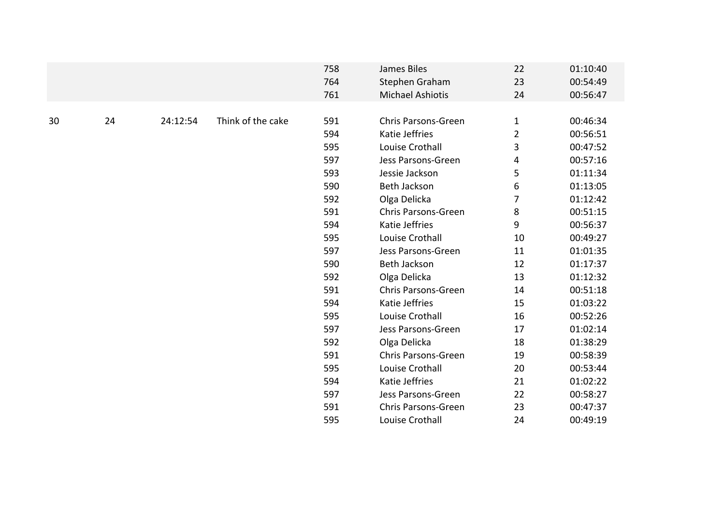|    |    |          |                   | 758<br>764<br>761 | James Biles<br>Stephen Graham<br><b>Michael Ashiotis</b> | 22<br>23<br>24 | 01:10:40<br>00:54:49<br>00:56:47 |
|----|----|----------|-------------------|-------------------|----------------------------------------------------------|----------------|----------------------------------|
|    |    |          |                   |                   |                                                          |                |                                  |
| 30 | 24 | 24:12:54 | Think of the cake | 591               | <b>Chris Parsons-Green</b>                               | $\mathbf{1}$   | 00:46:34                         |
|    |    |          |                   | 594               | Katie Jeffries                                           | $\overline{2}$ | 00:56:51                         |
|    |    |          |                   | 595               | Louise Crothall                                          | 3              | 00:47:52                         |
|    |    |          |                   | 597               | Jess Parsons-Green                                       | 4              | 00:57:16                         |
|    |    |          |                   | 593               | Jessie Jackson                                           | 5              | 01:11:34                         |
|    |    |          |                   | 590               | Beth Jackson                                             | 6              | 01:13:05                         |
|    |    |          |                   | 592               | Olga Delicka                                             | 7              | 01:12:42                         |
|    |    |          |                   | 591               | Chris Parsons-Green                                      | 8              | 00:51:15                         |
|    |    |          |                   | 594               | Katie Jeffries                                           | 9              | 00:56:37                         |
|    |    |          |                   | 595               | Louise Crothall                                          | 10             | 00:49:27                         |
|    |    |          |                   | 597               | Jess Parsons-Green                                       | 11             | 01:01:35                         |
|    |    |          |                   | 590               | Beth Jackson                                             | 12             | 01:17:37                         |
|    |    |          |                   | 592               | Olga Delicka                                             | 13             | 01:12:32                         |
|    |    |          |                   | 591               | <b>Chris Parsons-Green</b>                               | 14             | 00:51:18                         |
|    |    |          |                   | 594               | Katie Jeffries                                           | 15             | 01:03:22                         |
|    |    |          |                   | 595               | Louise Crothall                                          | 16             | 00:52:26                         |
|    |    |          |                   | 597               | Jess Parsons-Green                                       | 17             | 01:02:14                         |
|    |    |          |                   | 592               | Olga Delicka                                             | 18             | 01:38:29                         |
|    |    |          |                   | 591               | <b>Chris Parsons-Green</b>                               | 19             | 00:58:39                         |
|    |    |          |                   | 595               | Louise Crothall                                          | 20             | 00:53:44                         |
|    |    |          |                   | 594               | Katie Jeffries                                           | 21             | 01:02:22                         |
|    |    |          |                   | 597               | Jess Parsons-Green                                       | 22             | 00:58:27                         |
|    |    |          |                   | 591               | <b>Chris Parsons-Green</b>                               | 23             | 00:47:37                         |
|    |    |          |                   | 595               | Louise Crothall                                          | 24             | 00:49:19                         |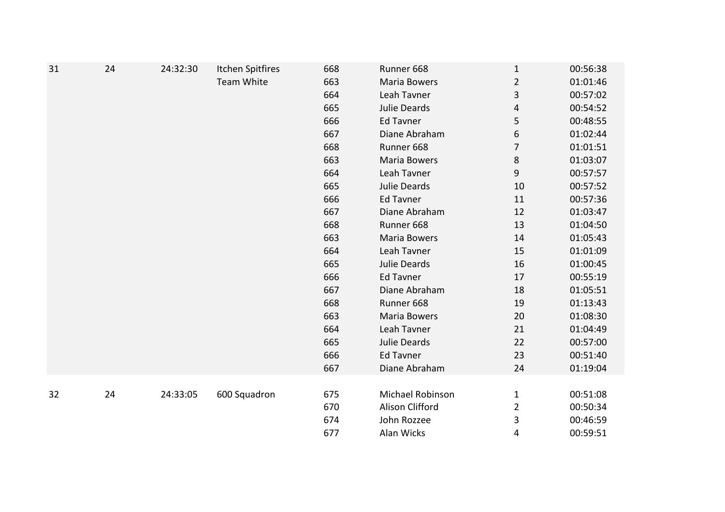| 31 | 24 | 24:32:30 | Itchen Spitfires | 668 | Runner 668       | $\mathbf{1}$   | 00:56:38 |
|----|----|----------|------------------|-----|------------------|----------------|----------|
|    |    |          | Team White       | 663 | Maria Bowers     | $\overline{2}$ | 01:01:46 |
|    |    |          |                  | 664 | Leah Tavner      | 3              | 00:57:02 |
|    |    |          |                  | 665 | Julie Deards     | 4              | 00:54:52 |
|    |    |          |                  | 666 | Ed Tavner        | 5              | 00:48:55 |
|    |    |          |                  | 667 | Diane Abraham    | 6              | 01:02:44 |
|    |    |          |                  | 668 | Runner 668       | 7              | 01:01:51 |
|    |    |          |                  | 663 | Maria Bowers     | $\bf 8$        | 01:03:07 |
|    |    |          |                  | 664 | Leah Tavner      | 9              | 00:57:57 |
|    |    |          |                  | 665 | Julie Deards     | 10             | 00:57:52 |
|    |    |          |                  | 666 | <b>Ed Tavner</b> | 11             | 00:57:36 |
|    |    |          |                  | 667 | Diane Abraham    | 12             | 01:03:47 |
|    |    |          |                  | 668 | Runner 668       | 13             | 01:04:50 |
|    |    |          |                  | 663 | Maria Bowers     | 14             | 01:05:43 |
|    |    |          |                  | 664 | Leah Tavner      | 15             | 01:01:09 |
|    |    |          |                  | 665 | Julie Deards     | 16             | 01:00:45 |
|    |    |          |                  | 666 | <b>Ed Tavner</b> | 17             | 00:55:19 |
|    |    |          |                  | 667 | Diane Abraham    | 18             | 01:05:51 |
|    |    |          |                  | 668 | Runner 668       | 19             | 01:13:43 |
|    |    |          |                  | 663 | Maria Bowers     | 20             | 01:08:30 |
|    |    |          |                  | 664 | Leah Tavner      | 21             | 01:04:49 |
|    |    |          |                  | 665 | Julie Deards     | 22             | 00:57:00 |
|    |    |          |                  | 666 | <b>Ed Tavner</b> | 23             | 00:51:40 |
|    |    |          |                  | 667 | Diane Abraham    | 24             | 01:19:04 |
|    |    |          |                  |     |                  |                |          |
| 32 | 24 | 24:33:05 | 600 Squadron     | 675 | Michael Robinson | $\mathbf{1}$   | 00:51:08 |
|    |    |          |                  | 670 | Alison Clifford  | $\overline{2}$ | 00:50:34 |
|    |    |          |                  | 674 | John Rozzee      | 3              | 00:46:59 |
|    |    |          |                  | 677 | Alan Wicks       | 4              | 00:59:51 |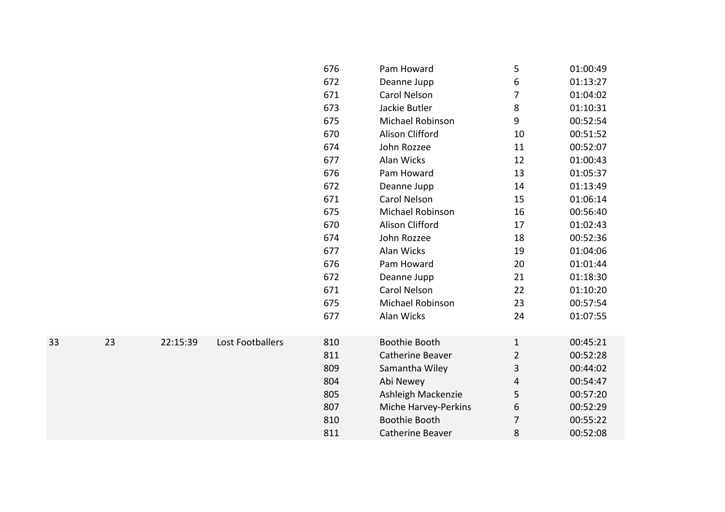|    |    |          |                  | 676 | Pam Howard              | 5              | 01:00:49 |
|----|----|----------|------------------|-----|-------------------------|----------------|----------|
|    |    |          |                  | 672 | Deanne Jupp             | 6              | 01:13:27 |
|    |    |          |                  | 671 | Carol Nelson            | 7              | 01:04:02 |
|    |    |          |                  | 673 | Jackie Butler           | 8              | 01:10:31 |
|    |    |          |                  | 675 | Michael Robinson        | 9              | 00:52:54 |
|    |    |          |                  | 670 | Alison Clifford         | 10             | 00:51:52 |
|    |    |          |                  | 674 | John Rozzee             | 11             | 00:52:07 |
|    |    |          |                  | 677 | Alan Wicks              | 12             | 01:00:43 |
|    |    |          |                  | 676 | Pam Howard              | 13             | 01:05:37 |
|    |    |          |                  | 672 | Deanne Jupp             | 14             | 01:13:49 |
|    |    |          |                  | 671 | Carol Nelson            | 15             | 01:06:14 |
|    |    |          |                  | 675 | Michael Robinson        | 16             | 00:56:40 |
|    |    |          |                  | 670 | Alison Clifford         | 17             | 01:02:43 |
|    |    |          |                  | 674 | John Rozzee             | 18             | 00:52:36 |
|    |    |          |                  | 677 | Alan Wicks              | 19             | 01:04:06 |
|    |    |          |                  | 676 | Pam Howard              | 20             | 01:01:44 |
|    |    |          |                  | 672 | Deanne Jupp             | 21             | 01:18:30 |
|    |    |          |                  | 671 | Carol Nelson            | 22             | 01:10:20 |
|    |    |          |                  | 675 | Michael Robinson        | 23             | 00:57:54 |
|    |    |          |                  | 677 | Alan Wicks              | 24             | 01:07:55 |
|    |    |          |                  |     |                         |                |          |
| 33 | 23 | 22:15:39 | Lost Footballers | 810 | <b>Boothie Booth</b>    | $\mathbf{1}$   | 00:45:21 |
|    |    |          |                  | 811 | Catherine Beaver        | $\overline{2}$ | 00:52:28 |
|    |    |          |                  | 809 | Samantha Wiley          | 3              | 00:44:02 |
|    |    |          |                  | 804 | Abi Newey               | 4              | 00:54:47 |
|    |    |          |                  | 805 | Ashleigh Mackenzie      | 5              | 00:57:20 |
|    |    |          |                  | 807 | Miche Harvey-Perkins    | 6              | 00:52:29 |
|    |    |          |                  | 810 | Boothie Booth           | 7              | 00:55:22 |
|    |    |          |                  | 811 | <b>Catherine Beaver</b> | 8              | 00:52:08 |
|    |    |          |                  |     |                         |                |          |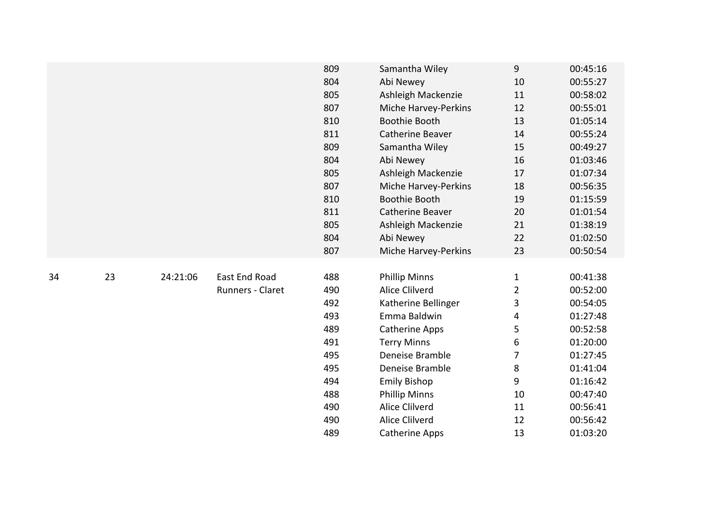|    |    |          |                      | 809 | Samantha Wiley        | 9                       | 00:45:16 |
|----|----|----------|----------------------|-----|-----------------------|-------------------------|----------|
|    |    |          |                      | 804 | Abi Newey             | 10                      | 00:55:27 |
|    |    |          |                      | 805 | Ashleigh Mackenzie    | 11                      | 00:58:02 |
|    |    |          |                      | 807 | Miche Harvey-Perkins  | 12                      | 00:55:01 |
|    |    |          |                      | 810 | <b>Boothie Booth</b>  | 13                      | 01:05:14 |
|    |    |          |                      | 811 | Catherine Beaver      | 14                      | 00:55:24 |
|    |    |          |                      | 809 | Samantha Wiley        | 15                      | 00:49:27 |
|    |    |          |                      | 804 | Abi Newey             | 16                      | 01:03:46 |
|    |    |          |                      | 805 | Ashleigh Mackenzie    | 17                      | 01:07:34 |
|    |    |          |                      | 807 | Miche Harvey-Perkins  | 18                      | 00:56:35 |
|    |    |          |                      | 810 | <b>Boothie Booth</b>  | 19                      | 01:15:59 |
|    |    |          |                      | 811 | Catherine Beaver      | 20                      | 01:01:54 |
|    |    |          |                      | 805 | Ashleigh Mackenzie    | 21                      | 01:38:19 |
|    |    |          |                      | 804 | Abi Newey             | 22                      | 01:02:50 |
|    |    |          |                      | 807 | Miche Harvey-Perkins  | 23                      | 00:50:54 |
|    |    |          |                      |     |                       |                         |          |
| 34 | 23 | 24:21:06 | <b>East End Road</b> | 488 | <b>Phillip Minns</b>  | $\mathbf{1}$            | 00:41:38 |
|    |    |          | Runners - Claret     | 490 | Alice Clilverd        | $\overline{2}$          | 00:52:00 |
|    |    |          |                      | 492 | Katherine Bellinger   | 3                       | 00:54:05 |
|    |    |          |                      | 493 | Emma Baldwin          | $\overline{\mathbf{4}}$ | 01:27:48 |
|    |    |          |                      | 489 | <b>Catherine Apps</b> | 5                       | 00:52:58 |
|    |    |          |                      | 491 | <b>Terry Minns</b>    | 6                       | 01:20:00 |
|    |    |          |                      | 495 | Deneise Bramble       | 7                       | 01:27:45 |
|    |    |          |                      | 495 | Deneise Bramble       | 8                       | 01:41:04 |
|    |    |          |                      | 494 | <b>Emily Bishop</b>   | 9                       | 01:16:42 |
|    |    |          |                      | 488 | <b>Phillip Minns</b>  | 10                      | 00:47:40 |
|    |    |          |                      | 490 | Alice Clilverd        | 11                      | 00:56:41 |
|    |    |          |                      | 490 | Alice Clilverd        | 12                      | 00:56:42 |
|    |    |          |                      | 489 | Catherine Apps        | 13                      | 01:03:20 |
|    |    |          |                      |     |                       |                         |          |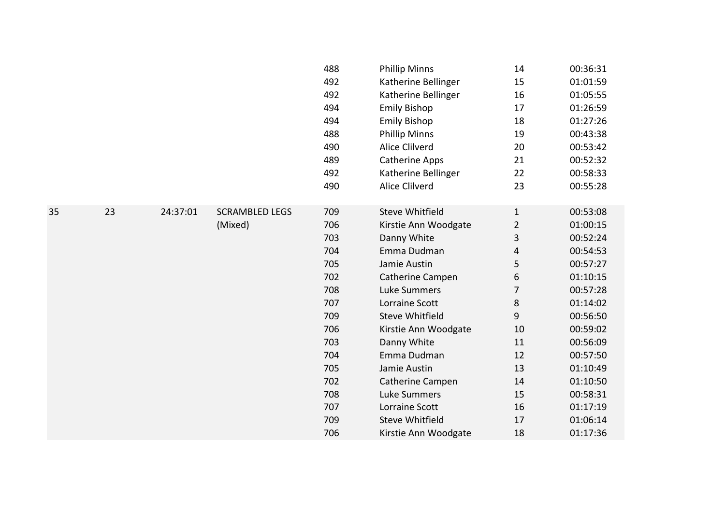|    |    |          |                       | 488 | <b>Phillip Minns</b>   | 14             | 00:36:31 |
|----|----|----------|-----------------------|-----|------------------------|----------------|----------|
|    |    |          |                       | 492 | Katherine Bellinger    | 15             | 01:01:59 |
|    |    |          |                       | 492 | Katherine Bellinger    | 16             | 01:05:55 |
|    |    |          |                       | 494 | <b>Emily Bishop</b>    | 17             | 01:26:59 |
|    |    |          |                       | 494 | <b>Emily Bishop</b>    | 18             | 01:27:26 |
|    |    |          |                       | 488 | <b>Phillip Minns</b>   | 19             | 00:43:38 |
|    |    |          |                       | 490 | Alice Clilverd         | 20             | 00:53:42 |
|    |    |          |                       | 489 | <b>Catherine Apps</b>  | 21             | 00:52:32 |
|    |    |          |                       | 492 | Katherine Bellinger    | 22             | 00:58:33 |
|    |    |          |                       | 490 | Alice Clilverd         | 23             | 00:55:28 |
|    |    |          |                       |     |                        |                |          |
| 35 | 23 | 24:37:01 | <b>SCRAMBLED LEGS</b> | 709 | <b>Steve Whitfield</b> | $\mathbf{1}$   | 00:53:08 |
|    |    |          | (Mixed)               | 706 | Kirstie Ann Woodgate   | $\overline{2}$ | 01:00:15 |
|    |    |          |                       | 703 | Danny White            | 3              | 00:52:24 |
|    |    |          |                       | 704 | Emma Dudman            | 4              | 00:54:53 |
|    |    |          |                       | 705 | Jamie Austin           | 5              | 00:57:27 |
|    |    |          |                       | 702 | Catherine Campen       | 6              | 01:10:15 |
|    |    |          |                       | 708 | <b>Luke Summers</b>    | 7              | 00:57:28 |
|    |    |          |                       | 707 | Lorraine Scott         | 8              | 01:14:02 |
|    |    |          |                       | 709 | <b>Steve Whitfield</b> | 9              | 00:56:50 |
|    |    |          |                       | 706 | Kirstie Ann Woodgate   | 10             | 00:59:02 |
|    |    |          |                       | 703 | Danny White            | 11             | 00:56:09 |
|    |    |          |                       | 704 | Emma Dudman            | 12             | 00:57:50 |
|    |    |          |                       | 705 | Jamie Austin           | 13             | 01:10:49 |
|    |    |          |                       | 702 | Catherine Campen       | 14             | 01:10:50 |
|    |    |          |                       | 708 | <b>Luke Summers</b>    | 15             | 00:58:31 |
|    |    |          |                       | 707 | Lorraine Scott         | 16             | 01:17:19 |
|    |    |          |                       | 709 | <b>Steve Whitfield</b> | 17             | 01:06:14 |
|    |    |          |                       | 706 | Kirstie Ann Woodgate   | 18             | 01:17:36 |
|    |    |          |                       |     |                        |                |          |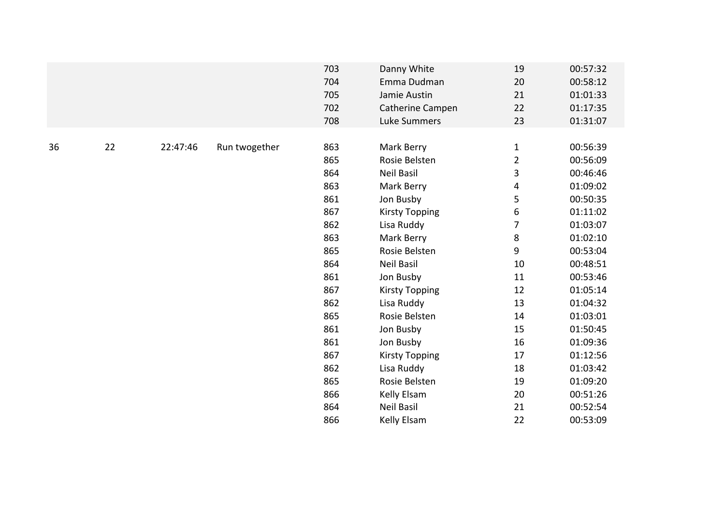|    |    |          |               | 703 | Danny White           | 19             | 00:57:32 |
|----|----|----------|---------------|-----|-----------------------|----------------|----------|
|    |    |          |               | 704 | Emma Dudman           | 20             | 00:58:12 |
|    |    |          |               | 705 | Jamie Austin          | 21             | 01:01:33 |
|    |    |          |               | 702 | Catherine Campen      | 22             | 01:17:35 |
|    |    |          |               | 708 | Luke Summers          | 23             | 01:31:07 |
|    |    |          |               |     |                       |                |          |
| 36 | 22 | 22:47:46 | Run twogether | 863 | Mark Berry            | $\mathbf{1}$   | 00:56:39 |
|    |    |          |               | 865 | Rosie Belsten         | $\overline{2}$ | 00:56:09 |
|    |    |          |               | 864 | <b>Neil Basil</b>     | 3              | 00:46:46 |
|    |    |          |               | 863 | Mark Berry            | 4              | 01:09:02 |
|    |    |          |               | 861 | Jon Busby             | 5              | 00:50:35 |
|    |    |          |               | 867 | <b>Kirsty Topping</b> | 6              | 01:11:02 |
|    |    |          |               | 862 | Lisa Ruddy            | 7              | 01:03:07 |
|    |    |          |               | 863 | Mark Berry            | 8              | 01:02:10 |
|    |    |          |               | 865 | Rosie Belsten         | 9              | 00:53:04 |
|    |    |          |               | 864 | Neil Basil            | 10             | 00:48:51 |
|    |    |          |               | 861 | Jon Busby             | 11             | 00:53:46 |
|    |    |          |               | 867 | <b>Kirsty Topping</b> | 12             | 01:05:14 |
|    |    |          |               | 862 | Lisa Ruddy            | 13             | 01:04:32 |
|    |    |          |               | 865 | Rosie Belsten         | 14             | 01:03:01 |
|    |    |          |               | 861 | Jon Busby             | 15             | 01:50:45 |
|    |    |          |               | 861 | Jon Busby             | 16             | 01:09:36 |
|    |    |          |               | 867 | <b>Kirsty Topping</b> | 17             | 01:12:56 |
|    |    |          |               | 862 | Lisa Ruddy            | 18             | 01:03:42 |
|    |    |          |               | 865 | Rosie Belsten         | 19             | 01:09:20 |
|    |    |          |               | 866 | Kelly Elsam           | 20             | 00:51:26 |
|    |    |          |               | 864 | <b>Neil Basil</b>     | 21             | 00:52:54 |
|    |    |          |               | 866 | Kelly Elsam           | 22             | 00:53:09 |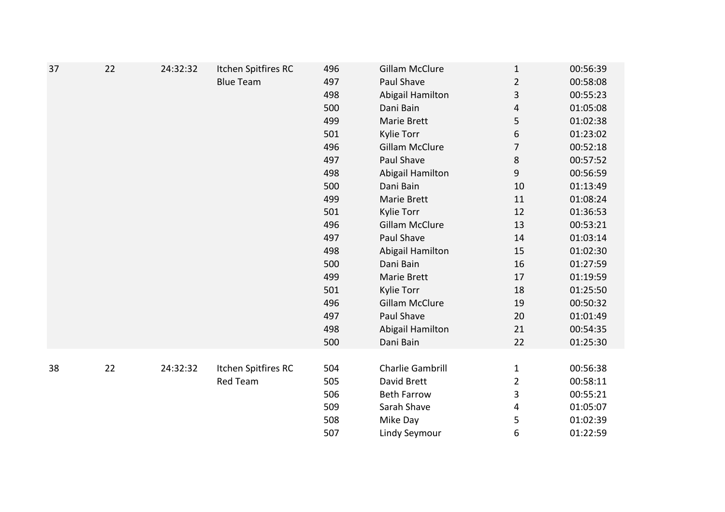| 37 | 22 | 24:32:32 | Itchen Spitfires RC | 496 | <b>Gillam McClure</b>   | $\mathbf{1}$   | 00:56:39 |
|----|----|----------|---------------------|-----|-------------------------|----------------|----------|
|    |    |          | <b>Blue Team</b>    | 497 | Paul Shave              | $\overline{2}$ | 00:58:08 |
|    |    |          |                     | 498 | Abigail Hamilton        | 3              | 00:55:23 |
|    |    |          |                     | 500 | Dani Bain               | 4              | 01:05:08 |
|    |    |          |                     | 499 | Marie Brett             | 5              | 01:02:38 |
|    |    |          |                     | 501 | <b>Kylie Torr</b>       | 6              | 01:23:02 |
|    |    |          |                     | 496 | <b>Gillam McClure</b>   | 7              | 00:52:18 |
|    |    |          |                     | 497 | Paul Shave              | $\,8\,$        | 00:57:52 |
|    |    |          |                     | 498 | Abigail Hamilton        | 9              | 00:56:59 |
|    |    |          |                     | 500 | Dani Bain               | 10             | 01:13:49 |
|    |    |          |                     | 499 | Marie Brett             | 11             | 01:08:24 |
|    |    |          |                     | 501 | Kylie Torr              | 12             | 01:36:53 |
|    |    |          |                     | 496 | <b>Gillam McClure</b>   | 13             | 00:53:21 |
|    |    |          |                     | 497 | Paul Shave              | 14             | 01:03:14 |
|    |    |          |                     | 498 | Abigail Hamilton        | 15             | 01:02:30 |
|    |    |          |                     | 500 | Dani Bain               | 16             | 01:27:59 |
|    |    |          |                     | 499 | Marie Brett             | 17             | 01:19:59 |
|    |    |          |                     | 501 | Kylie Torr              | 18             | 01:25:50 |
|    |    |          |                     | 496 | <b>Gillam McClure</b>   | 19             | 00:50:32 |
|    |    |          |                     | 497 | Paul Shave              | 20             | 01:01:49 |
|    |    |          |                     | 498 | Abigail Hamilton        | 21             | 00:54:35 |
|    |    |          |                     | 500 | Dani Bain               | 22             | 01:25:30 |
|    |    |          |                     |     |                         |                |          |
| 38 | 22 | 24:32:32 | Itchen Spitfires RC | 504 | <b>Charlie Gambrill</b> | $\mathbf{1}$   | 00:56:38 |
|    |    |          | <b>Red Team</b>     | 505 | David Brett             | $\overline{2}$ | 00:58:11 |
|    |    |          |                     | 506 | <b>Beth Farrow</b>      | 3              | 00:55:21 |
|    |    |          |                     | 509 | Sarah Shave             | 4              | 01:05:07 |
|    |    |          |                     | 508 | Mike Day                | 5              | 01:02:39 |
|    |    |          |                     | 507 | <b>Lindy Seymour</b>    | 6              | 01:22:59 |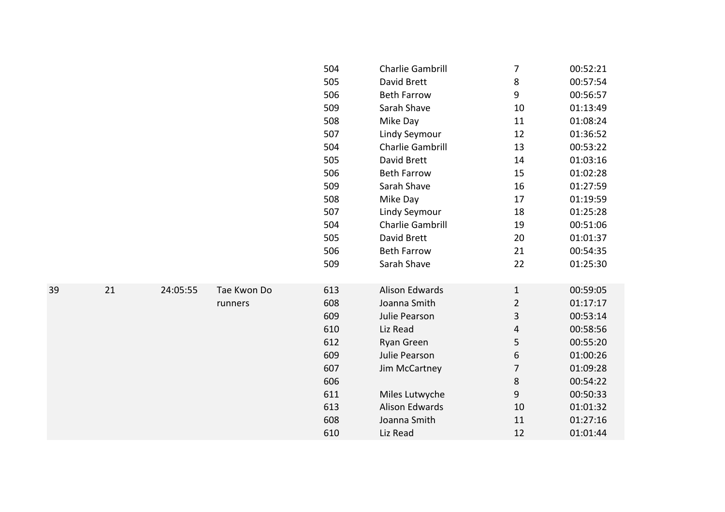|    |    |          |             | 504 | Charlie Gambrill        | 7              | 00:52:21 |
|----|----|----------|-------------|-----|-------------------------|----------------|----------|
|    |    |          |             | 505 | David Brett             | 8              | 00:57:54 |
|    |    |          |             | 506 | <b>Beth Farrow</b>      | 9              | 00:56:57 |
|    |    |          |             | 509 | Sarah Shave             | 10             | 01:13:49 |
|    |    |          |             | 508 | Mike Day                | 11             | 01:08:24 |
|    |    |          |             | 507 | Lindy Seymour           | 12             | 01:36:52 |
|    |    |          |             | 504 | Charlie Gambrill        | 13             | 00:53:22 |
|    |    |          |             | 505 | David Brett             | 14             | 01:03:16 |
|    |    |          |             | 506 | <b>Beth Farrow</b>      | 15             | 01:02:28 |
|    |    |          |             | 509 | Sarah Shave             | 16             | 01:27:59 |
|    |    |          |             | 508 | Mike Day                | 17             | 01:19:59 |
|    |    |          |             | 507 | Lindy Seymour           | 18             | 01:25:28 |
|    |    |          |             | 504 | <b>Charlie Gambrill</b> | 19             | 00:51:06 |
|    |    |          |             | 505 | David Brett             | 20             | 01:01:37 |
|    |    |          |             | 506 | <b>Beth Farrow</b>      | 21             | 00:54:35 |
|    |    |          |             | 509 | Sarah Shave             | 22             | 01:25:30 |
|    |    |          |             |     |                         |                |          |
| 39 | 21 | 24:05:55 | Tae Kwon Do | 613 | <b>Alison Edwards</b>   | $\mathbf{1}$   | 00:59:05 |
|    |    |          | runners     | 608 | Joanna Smith            | $\overline{2}$ | 01:17:17 |
|    |    |          |             | 609 | Julie Pearson           | 3              | 00:53:14 |
|    |    |          |             | 610 | Liz Read                | 4              | 00:58:56 |
|    |    |          |             | 612 | Ryan Green              | 5              | 00:55:20 |
|    |    |          |             | 609 | Julie Pearson           | 6              | 01:00:26 |
|    |    |          |             | 607 | Jim McCartney           | 7              | 01:09:28 |
|    |    |          |             | 606 |                         | 8              | 00:54:22 |
|    |    |          |             | 611 | Miles Lutwyche          | 9              | 00:50:33 |
|    |    |          |             | 613 | <b>Alison Edwards</b>   | 10             | 01:01:32 |
|    |    |          |             | 608 | Joanna Smith            | 11             | 01:27:16 |
|    |    |          |             | 610 | Liz Read                | 12             | 01:01:44 |
|    |    |          |             |     |                         |                |          |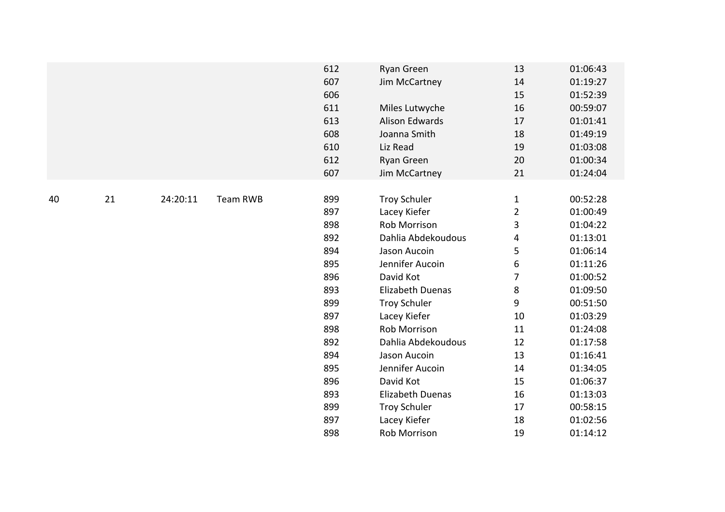|    |    |          |                 | 612<br>607<br>606<br>611<br>613<br>608<br>610<br>612<br>607                                                  | Ryan Green<br>Jim McCartney<br>Miles Lutwyche<br><b>Alison Edwards</b><br>Joanna Smith<br>Liz Read<br>Ryan Green<br>Jim McCartney                                                                                                                                                                     | 13<br>14<br>15<br>16<br>17<br>18<br>19<br>20<br>21                                                          | 01:06:43<br>01:19:27<br>01:52:39<br>00:59:07<br>01:01:41<br>01:49:19<br>01:03:08<br>01:00:34<br>01:24:04                                                                                     |
|----|----|----------|-----------------|--------------------------------------------------------------------------------------------------------------|-------------------------------------------------------------------------------------------------------------------------------------------------------------------------------------------------------------------------------------------------------------------------------------------------------|-------------------------------------------------------------------------------------------------------------|----------------------------------------------------------------------------------------------------------------------------------------------------------------------------------------------|
| 40 | 21 | 24:20:11 | <b>Team RWB</b> | 899<br>897<br>898<br>892<br>894<br>895<br>896<br>893<br>899<br>897<br>898<br>892<br>894<br>895<br>896<br>893 | <b>Troy Schuler</b><br>Lacey Kiefer<br>Rob Morrison<br>Dahlia Abdekoudous<br>Jason Aucoin<br>Jennifer Aucoin<br>David Kot<br><b>Elizabeth Duenas</b><br><b>Troy Schuler</b><br>Lacey Kiefer<br>Rob Morrison<br>Dahlia Abdekoudous<br>Jason Aucoin<br>Jennifer Aucoin<br>David Kot<br>Elizabeth Duenas | $\mathbf{1}$<br>$\overline{2}$<br>3<br>4<br>5<br>6<br>7<br>8<br>9<br>10<br>11<br>12<br>13<br>14<br>15<br>16 | 00:52:28<br>01:00:49<br>01:04:22<br>01:13:01<br>01:06:14<br>01:11:26<br>01:00:52<br>01:09:50<br>00:51:50<br>01:03:29<br>01:24:08<br>01:17:58<br>01:16:41<br>01:34:05<br>01:06:37<br>01:13:03 |
|    |    |          |                 | 899<br>897<br>898                                                                                            | <b>Troy Schuler</b><br>Lacey Kiefer<br>Rob Morrison                                                                                                                                                                                                                                                   | 17<br>18<br>19                                                                                              | 00:58:15<br>01:02:56<br>01:14:12                                                                                                                                                             |
|    |    |          |                 |                                                                                                              |                                                                                                                                                                                                                                                                                                       |                                                                                                             |                                                                                                                                                                                              |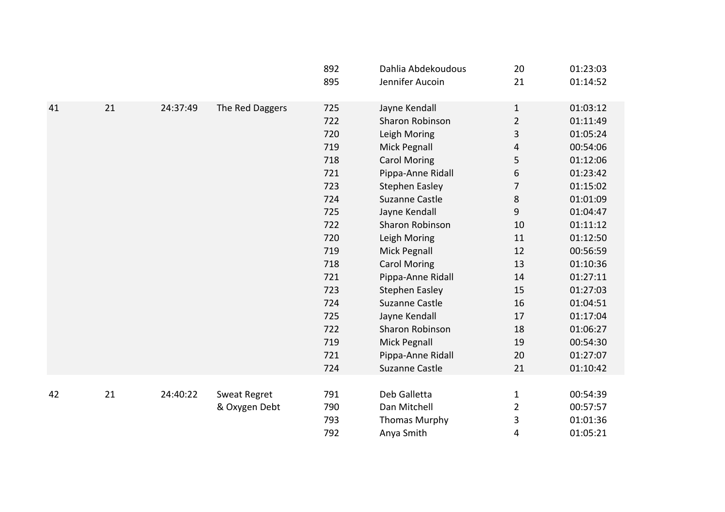|    |    |          |                     | 892<br>895 | Dahlia Abdekoudous<br>Jennifer Aucoin | 20<br>21       | 01:23:03<br>01:14:52 |
|----|----|----------|---------------------|------------|---------------------------------------|----------------|----------------------|
| 41 | 21 | 24:37:49 | The Red Daggers     | 725        | Jayne Kendall                         | $\mathbf{1}$   | 01:03:12             |
|    |    |          |                     | 722        | Sharon Robinson                       | $\overline{2}$ | 01:11:49             |
|    |    |          |                     | 720        | Leigh Moring                          | 3              | 01:05:24             |
|    |    |          |                     | 719        | Mick Pegnall                          | 4              | 00:54:06             |
|    |    |          |                     | 718        | <b>Carol Moring</b>                   | 5              | 01:12:06             |
|    |    |          |                     | 721        | Pippa-Anne Ridall                     | 6              | 01:23:42             |
|    |    |          |                     | 723        | <b>Stephen Easley</b>                 | 7              | 01:15:02             |
|    |    |          |                     | 724        | <b>Suzanne Castle</b>                 | 8              | 01:01:09             |
|    |    |          |                     | 725        | Jayne Kendall                         | 9              | 01:04:47             |
|    |    |          |                     | 722        | Sharon Robinson                       | 10             | 01:11:12             |
|    |    |          |                     | 720        | Leigh Moring                          | 11             | 01:12:50             |
|    |    |          |                     | 719        | Mick Pegnall                          | 12             | 00:56:59             |
|    |    |          |                     | 718        | <b>Carol Moring</b>                   | 13             | 01:10:36             |
|    |    |          |                     | 721        | Pippa-Anne Ridall                     | 14             | 01:27:11             |
|    |    |          |                     | 723        | <b>Stephen Easley</b>                 | 15             | 01:27:03             |
|    |    |          |                     | 724        | <b>Suzanne Castle</b>                 | 16             | 01:04:51             |
|    |    |          |                     | 725        | Jayne Kendall                         | 17             | 01:17:04             |
|    |    |          |                     | 722        | Sharon Robinson                       | 18             | 01:06:27             |
|    |    |          |                     | 719        | Mick Pegnall                          | 19             | 00:54:30             |
|    |    |          |                     | 721        | Pippa-Anne Ridall                     | 20             | 01:27:07             |
|    |    |          |                     | 724        | <b>Suzanne Castle</b>                 | 21             | 01:10:42             |
|    |    |          |                     |            |                                       |                |                      |
| 42 | 21 | 24:40:22 | <b>Sweat Regret</b> | 791        | Deb Galletta                          | 1              | 00:54:39             |
|    |    |          | & Oxygen Debt       | 790        | Dan Mitchell                          | $\overline{2}$ | 00:57:57             |
|    |    |          |                     | 793        | <b>Thomas Murphy</b>                  | 3              | 01:01:36             |
|    |    |          |                     | 792        | Anya Smith                            | 4              | 01:05:21             |
|    |    |          |                     |            |                                       |                |                      |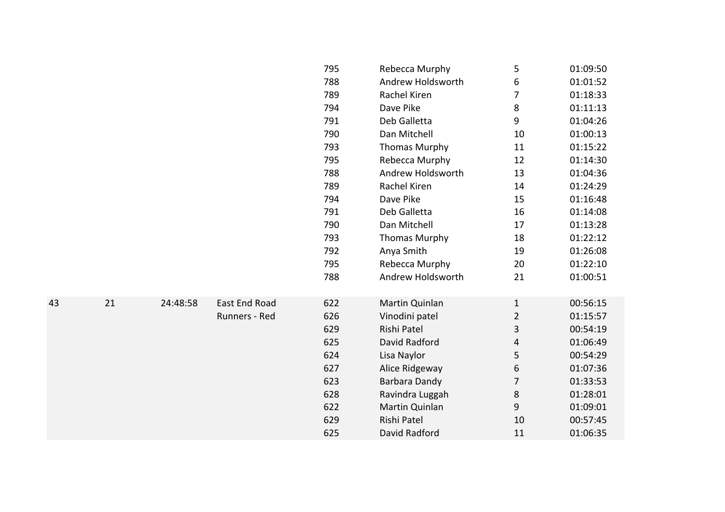|    |    |          |                      | 795 | Rebecca Murphy       | 5              | 01:09:50 |
|----|----|----------|----------------------|-----|----------------------|----------------|----------|
|    |    |          |                      | 788 | Andrew Holdsworth    | 6              | 01:01:52 |
|    |    |          |                      | 789 | Rachel Kiren         | 7              | 01:18:33 |
|    |    |          |                      | 794 | Dave Pike            | 8              | 01:11:13 |
|    |    |          |                      | 791 | Deb Galletta         | 9              | 01:04:26 |
|    |    |          |                      | 790 | Dan Mitchell         | 10             | 01:00:13 |
|    |    |          |                      | 793 | <b>Thomas Murphy</b> | 11             | 01:15:22 |
|    |    |          |                      | 795 | Rebecca Murphy       | 12             | 01:14:30 |
|    |    |          |                      | 788 | Andrew Holdsworth    | 13             | 01:04:36 |
|    |    |          |                      | 789 | Rachel Kiren         | 14             | 01:24:29 |
|    |    |          |                      | 794 | Dave Pike            | 15             | 01:16:48 |
|    |    |          |                      | 791 | Deb Galletta         | 16             | 01:14:08 |
|    |    |          |                      | 790 | Dan Mitchell         | 17             | 01:13:28 |
|    |    |          |                      | 793 | <b>Thomas Murphy</b> | 18             | 01:22:12 |
|    |    |          |                      | 792 | Anya Smith           | 19             | 01:26:08 |
|    |    |          |                      | 795 | Rebecca Murphy       | 20             | 01:22:10 |
|    |    |          |                      | 788 | Andrew Holdsworth    | 21             | 01:00:51 |
|    |    |          |                      |     |                      |                |          |
| 43 | 21 | 24:48:58 | <b>East End Road</b> | 622 | Martin Quinlan       | $\mathbf{1}$   | 00:56:15 |
|    |    |          | Runners - Red        | 626 | Vinodini patel       | $\overline{2}$ | 01:15:57 |
|    |    |          |                      | 629 | Rishi Patel          | 3              | 00:54:19 |
|    |    |          |                      | 625 | David Radford        | 4              | 01:06:49 |
|    |    |          |                      | 624 | Lisa Naylor          | 5              | 00:54:29 |
|    |    |          |                      | 627 | Alice Ridgeway       | 6              | 01:07:36 |
|    |    |          |                      | 623 | Barbara Dandy        | 7              | 01:33:53 |
|    |    |          |                      | 628 | Ravindra Luggah      | 8              | 01:28:01 |
|    |    |          |                      | 622 | Martin Quinlan       | 9              | 01:09:01 |
|    |    |          |                      | 629 | Rishi Patel          | 10             | 00:57:45 |
|    |    |          |                      | 625 | David Radford        | 11             | 01:06:35 |
|    |    |          |                      |     |                      |                |          |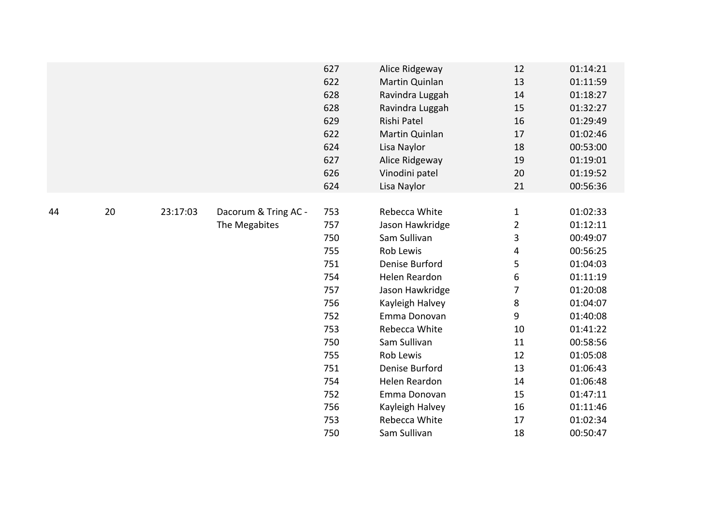|    |    |          |                      | 627 | Alice Ridgeway  | 12             | 01:14:21 |
|----|----|----------|----------------------|-----|-----------------|----------------|----------|
|    |    |          |                      | 622 | Martin Quinlan  | 13             | 01:11:59 |
|    |    |          |                      | 628 | Ravindra Luggah | 14             | 01:18:27 |
|    |    |          |                      | 628 | Ravindra Luggah | 15             | 01:32:27 |
|    |    |          |                      | 629 | Rishi Patel     | 16             | 01:29:49 |
|    |    |          |                      | 622 | Martin Quinlan  | 17             | 01:02:46 |
|    |    |          |                      | 624 | Lisa Naylor     | 18             | 00:53:00 |
|    |    |          |                      | 627 | Alice Ridgeway  | 19             | 01:19:01 |
|    |    |          |                      | 626 | Vinodini patel  | 20             | 01:19:52 |
|    |    |          |                      | 624 | Lisa Naylor     | 21             | 00:56:36 |
|    |    |          |                      |     |                 |                |          |
| 44 | 20 | 23:17:03 | Dacorum & Tring AC - | 753 | Rebecca White   | $\mathbf{1}$   | 01:02:33 |
|    |    |          | The Megabites        | 757 | Jason Hawkridge | $\overline{2}$ | 01:12:11 |
|    |    |          |                      | 750 | Sam Sullivan    | 3              | 00:49:07 |
|    |    |          |                      | 755 | Rob Lewis       | 4              | 00:56:25 |
|    |    |          |                      | 751 | Denise Burford  | 5              | 01:04:03 |
|    |    |          |                      | 754 | Helen Reardon   | 6              | 01:11:19 |
|    |    |          |                      | 757 | Jason Hawkridge | $\overline{7}$ | 01:20:08 |
|    |    |          |                      | 756 | Kayleigh Halvey | 8              | 01:04:07 |
|    |    |          |                      | 752 | Emma Donovan    | 9              | 01:40:08 |
|    |    |          |                      | 753 | Rebecca White   | 10             | 01:41:22 |
|    |    |          |                      | 750 | Sam Sullivan    | 11             | 00:58:56 |
|    |    |          |                      | 755 | Rob Lewis       | 12             | 01:05:08 |
|    |    |          |                      | 751 | Denise Burford  | 13             | 01:06:43 |
|    |    |          |                      | 754 | Helen Reardon   | 14             | 01:06:48 |
|    |    |          |                      | 752 | Emma Donovan    | 15             | 01:47:11 |
|    |    |          |                      | 756 | Kayleigh Halvey | 16             | 01:11:46 |
|    |    |          |                      | 753 | Rebecca White   | 17             | 01:02:34 |
|    |    |          |                      | 750 | Sam Sullivan    | 18             | 00:50:47 |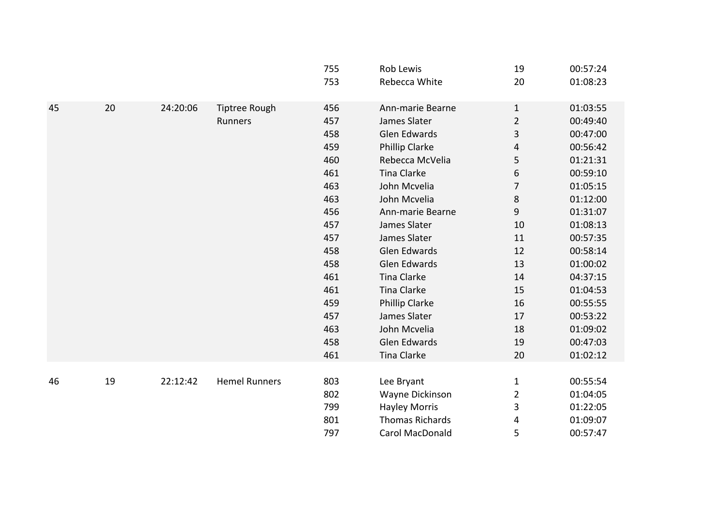|    |    |          |                      | 755<br>753 | Rob Lewis<br>Rebecca White | 19<br>20       | 00:57:24<br>01:08:23 |
|----|----|----------|----------------------|------------|----------------------------|----------------|----------------------|
| 45 | 20 | 24:20:06 | <b>Tiptree Rough</b> | 456        | Ann-marie Bearne           | $\mathbf{1}$   | 01:03:55             |
|    |    |          | Runners              | 457        | James Slater               | $\overline{2}$ | 00:49:40             |
|    |    |          |                      | 458        | <b>Glen Edwards</b>        | 3              | 00:47:00             |
|    |    |          |                      | 459        | Phillip Clarke             | 4              | 00:56:42             |
|    |    |          |                      | 460        | Rebecca McVelia            | 5              | 01:21:31             |
|    |    |          |                      | 461        | <b>Tina Clarke</b>         | 6              | 00:59:10             |
|    |    |          |                      | 463        | John Mcvelia               | 7              | 01:05:15             |
|    |    |          |                      | 463        | John Mcvelia               | 8              | 01:12:00             |
|    |    |          |                      | 456        | Ann-marie Bearne           | 9              | 01:31:07             |
|    |    |          |                      | 457        | James Slater               | 10             | 01:08:13             |
|    |    |          |                      | 457        | James Slater               | 11             | 00:57:35             |
|    |    |          |                      | 458        | <b>Glen Edwards</b>        | 12             | 00:58:14             |
|    |    |          |                      | 458        | <b>Glen Edwards</b>        | 13             | 01:00:02             |
|    |    |          |                      | 461        | <b>Tina Clarke</b>         | 14             | 04:37:15             |
|    |    |          |                      | 461        | <b>Tina Clarke</b>         | 15             | 01:04:53             |
|    |    |          |                      | 459        | Phillip Clarke             | 16             | 00:55:55             |
|    |    |          |                      | 457        | James Slater               | 17             | 00:53:22             |
|    |    |          |                      | 463        | John Mcvelia               | 18             | 01:09:02             |
|    |    |          |                      | 458        | <b>Glen Edwards</b>        | 19             | 00:47:03             |
|    |    |          |                      | 461        | <b>Tina Clarke</b>         | 20             | 01:02:12             |
|    |    |          |                      |            |                            |                |                      |
| 46 | 19 | 22:12:42 | <b>Hemel Runners</b> | 803        | Lee Bryant                 | $\mathbf{1}$   | 00:55:54             |
|    |    |          |                      | 802        | Wayne Dickinson            | $\overline{2}$ | 01:04:05             |
|    |    |          |                      | 799        | <b>Hayley Morris</b>       | 3              | 01:22:05             |
|    |    |          |                      | 801        | <b>Thomas Richards</b>     | 4              | 01:09:07             |
|    |    |          |                      | 797        | Carol MacDonald            | 5              | 00:57:47             |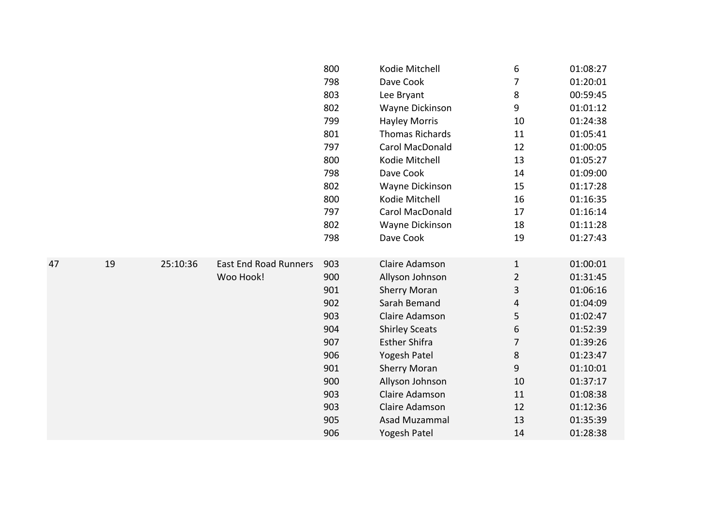|    |    |          |                              | 800 | Kodie Mitchell         | 6              | 01:08:27 |
|----|----|----------|------------------------------|-----|------------------------|----------------|----------|
|    |    |          |                              | 798 | Dave Cook              | 7              | 01:20:01 |
|    |    |          |                              | 803 | Lee Bryant             | 8              | 00:59:45 |
|    |    |          |                              | 802 | Wayne Dickinson        | 9              | 01:01:12 |
|    |    |          |                              | 799 | <b>Hayley Morris</b>   | 10             | 01:24:38 |
|    |    |          |                              | 801 | <b>Thomas Richards</b> | 11             | 01:05:41 |
|    |    |          |                              | 797 | Carol MacDonald        | 12             | 01:00:05 |
|    |    |          |                              | 800 | Kodie Mitchell         | 13             | 01:05:27 |
|    |    |          |                              | 798 | Dave Cook              | 14             | 01:09:00 |
|    |    |          |                              | 802 | Wayne Dickinson        | 15             | 01:17:28 |
|    |    |          |                              | 800 | Kodie Mitchell         | 16             | 01:16:35 |
|    |    |          |                              | 797 | Carol MacDonald        | 17             | 01:16:14 |
|    |    |          |                              | 802 | Wayne Dickinson        | 18             | 01:11:28 |
|    |    |          |                              | 798 | Dave Cook              | 19             | 01:27:43 |
|    |    |          |                              |     |                        |                |          |
| 47 | 19 | 25:10:36 | <b>East End Road Runners</b> | 903 | Claire Adamson         | $\mathbf{1}$   | 01:00:01 |
|    |    |          | Woo Hook!                    | 900 | Allyson Johnson        | $\overline{2}$ | 01:31:45 |
|    |    |          |                              | 901 | <b>Sherry Moran</b>    | 3              | 01:06:16 |
|    |    |          |                              | 902 | Sarah Bemand           | 4              | 01:04:09 |
|    |    |          |                              | 903 | Claire Adamson         | 5              | 01:02:47 |
|    |    |          |                              | 904 | <b>Shirley Sceats</b>  | 6              | 01:52:39 |
|    |    |          |                              | 907 | <b>Esther Shifra</b>   | 7              | 01:39:26 |
|    |    |          |                              | 906 | Yogesh Patel           | $\,8\,$        | 01:23:47 |
|    |    |          |                              | 901 | <b>Sherry Moran</b>    | 9              | 01:10:01 |
|    |    |          |                              | 900 | Allyson Johnson        | 10             | 01:37:17 |
|    |    |          |                              | 903 | Claire Adamson         | 11             | 01:08:38 |
|    |    |          |                              | 903 | Claire Adamson         | 12             | 01:12:36 |
|    |    |          |                              | 905 | Asad Muzammal          | 13             | 01:35:39 |
|    |    |          |                              | 906 | Yogesh Patel           | 14             | 01:28:38 |